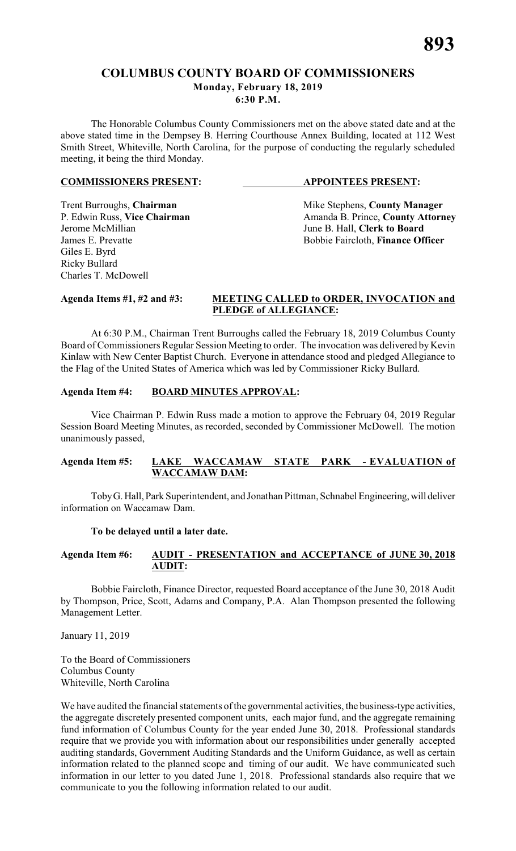## **COLUMBUS COUNTY BOARD OF COMMISSIONERS Monday, February 18, 2019**

**6:30 P.M.**

The Honorable Columbus County Commissioners met on the above stated date and at the above stated time in the Dempsey B. Herring Courthouse Annex Building, located at 112 West Smith Street, Whiteville, North Carolina, for the purpose of conducting the regularly scheduled meeting, it being the third Monday.

#### **COMMISSIONERS PRESENT: APPOINTEES PRESENT:**

Giles E. Byrd Ricky Bullard Charles T. McDowell

Trent Burroughs, **Chairman** Mike Stephens, **County Manager** P. Edwin Russ, Vice Chairman Manager Amanda B. Prince, **County Attorn** P. Edwin Russ, **Vice Chairman** Amanda B. Prince, **County Attorney**<br>Jerome McMillian June B. Hall, **Clerk to Board** June B. Hall, **Clerk to Board** James E. Prevatte **Bobbie Faircloth**, **Finance Officer** 

#### **Agenda Items #1, #2 and #3: MEETING CALLED to ORDER, INVOCATION and PLEDGE of ALLEGIANCE:**

At 6:30 P.M., Chairman Trent Burroughs called the February 18, 2019 Columbus County Board of Commissioners Regular Session Meeting to order. The invocation was delivered by Kevin Kinlaw with New Center Baptist Church. Everyone in attendance stood and pledged Allegiance to the Flag of the United States of America which was led by Commissioner Ricky Bullard.

## **Agenda Item #4: BOARD MINUTES APPROVAL:**

Vice Chairman P. Edwin Russ made a motion to approve the February 04, 2019 Regular Session Board Meeting Minutes, as recorded, seconded by Commissioner McDowell. The motion unanimously passed,

#### **Agenda Item #5: LAKE WACCAMAW STATE PARK - EVALUATION of WACCAMAW DAM:**

Toby G. Hall, Park Superintendent, and Jonathan Pittman, Schnabel Engineering, will deliver information on Waccamaw Dam.

#### **To be delayed until a later date.**

#### **Agenda Item #6: AUDIT - PRESENTATION and ACCEPTANCE of JUNE 30, 2018 AUDIT:**

Bobbie Faircloth, Finance Director, requested Board acceptance of the June 30, 2018 Audit by Thompson, Price, Scott, Adams and Company, P.A. Alan Thompson presented the following Management Letter.

January 11, 2019

To the Board of Commissioners Columbus County Whiteville, North Carolina

We have audited the financial statements of the governmental activities, the business-type activities, the aggregate discretely presented component units, each major fund, and the aggregate remaining fund information of Columbus County for the year ended June 30, 2018. Professional standards require that we provide you with information about our responsibilities under generally accepted auditing standards, Government Auditing Standards and the Uniform Guidance, as well as certain information related to the planned scope and timing of our audit. We have communicated such information in our letter to you dated June 1, 2018. Professional standards also require that we communicate to you the following information related to our audit.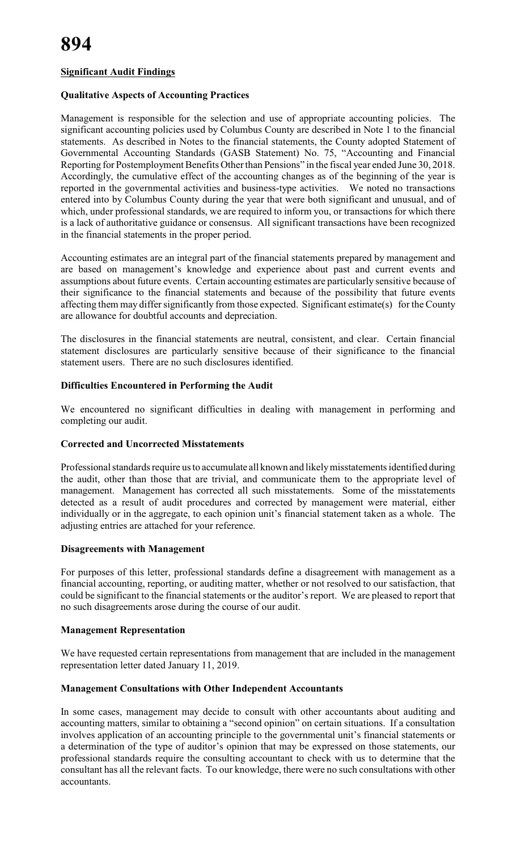#### **Significant Audit Findings**

#### **Qualitative Aspects of Accounting Practices**

Management is responsible for the selection and use of appropriate accounting policies. The significant accounting policies used by Columbus County are described in Note 1 to the financial statements. As described in Notes to the financial statements, the County adopted Statement of Governmental Accounting Standards (GASB Statement) No. 75, "Accounting and Financial Reporting for Postemployment Benefits Other than Pensions" in the fiscal year ended June 30, 2018. Accordingly, the cumulative effect of the accounting changes as of the beginning of the year is reported in the governmental activities and business-type activities. We noted no transactions entered into by Columbus County during the year that were both significant and unusual, and of which, under professional standards, we are required to inform you, or transactions for which there is a lack of authoritative guidance or consensus. All significant transactions have been recognized in the financial statements in the proper period.

Accounting estimates are an integral part of the financial statements prepared by management and are based on management's knowledge and experience about past and current events and assumptions about future events. Certain accounting estimates are particularly sensitive because of their significance to the financial statements and because of the possibility that future events affecting them may differ significantly from those expected. Significant estimate(s) for the County are allowance for doubtful accounts and depreciation.

The disclosures in the financial statements are neutral, consistent, and clear. Certain financial statement disclosures are particularly sensitive because of their significance to the financial statement users. There are no such disclosures identified.

#### **Difficulties Encountered in Performing the Audit**

We encountered no significant difficulties in dealing with management in performing and completing our audit.

#### **Corrected and Uncorrected Misstatements**

Professional standards require us to accumulate all known and likely misstatements identified during the audit, other than those that are trivial, and communicate them to the appropriate level of management. Management has corrected all such misstatements. Some of the misstatements detected as a result of audit procedures and corrected by management were material, either individually or in the aggregate, to each opinion unit's financial statement taken as a whole. The adjusting entries are attached for your reference.

#### **Disagreements with Management**

For purposes of this letter, professional standards define a disagreement with management as a financial accounting, reporting, or auditing matter, whether or not resolved to our satisfaction, that could be significant to the financial statements or the auditor's report. We are pleased to report that no such disagreements arose during the course of our audit.

#### **Management Representation**

We have requested certain representations from management that are included in the management representation letter dated January 11, 2019.

#### **Management Consultations with Other Independent Accountants**

In some cases, management may decide to consult with other accountants about auditing and accounting matters, similar to obtaining a "second opinion" on certain situations. If a consultation involves application of an accounting principle to the governmental unit's financial statements or a determination of the type of auditor's opinion that may be expressed on those statements, our professional standards require the consulting accountant to check with us to determine that the consultant has all the relevant facts. To our knowledge, there were no such consultations with other accountants.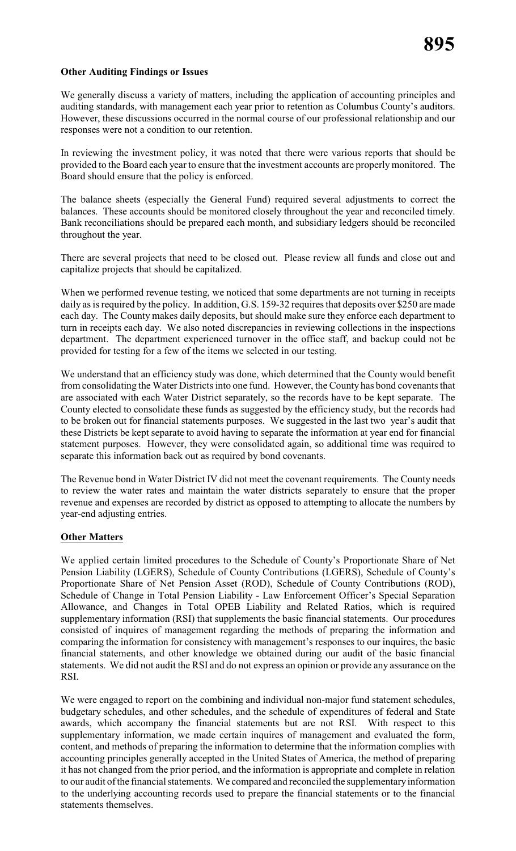#### **Other Auditing Findings or Issues**

We generally discuss a variety of matters, including the application of accounting principles and auditing standards, with management each year prior to retention as Columbus County's auditors. However, these discussions occurred in the normal course of our professional relationship and our responses were not a condition to our retention.

In reviewing the investment policy, it was noted that there were various reports that should be provided to the Board each year to ensure that the investment accounts are properly monitored. The Board should ensure that the policy is enforced.

The balance sheets (especially the General Fund) required several adjustments to correct the balances. These accounts should be monitored closely throughout the year and reconciled timely. Bank reconciliations should be prepared each month, and subsidiary ledgers should be reconciled throughout the year.

There are several projects that need to be closed out. Please review all funds and close out and capitalize projects that should be capitalized.

When we performed revenue testing, we noticed that some departments are not turning in receipts daily as is required by the policy. In addition, G.S. 159-32 requires that deposits over \$250 are made each day. The County makes daily deposits, but should make sure they enforce each department to turn in receipts each day. We also noted discrepancies in reviewing collections in the inspections department. The department experienced turnover in the office staff, and backup could not be provided for testing for a few of the items we selected in our testing.

We understand that an efficiency study was done, which determined that the County would benefit from consolidating the Water Districts into one fund. However, the County has bond covenants that are associated with each Water District separately, so the records have to be kept separate. The County elected to consolidate these funds as suggested by the efficiency study, but the records had to be broken out for financial statements purposes. We suggested in the last two year's audit that these Districts be kept separate to avoid having to separate the information at year end for financial statement purposes. However, they were consolidated again, so additional time was required to separate this information back out as required by bond covenants.

The Revenue bond in Water District IV did not meet the covenant requirements. The County needs to review the water rates and maintain the water districts separately to ensure that the proper revenue and expenses are recorded by district as opposed to attempting to allocate the numbers by year-end adjusting entries.

#### **Other Matters**

We applied certain limited procedures to the Schedule of County's Proportionate Share of Net Pension Liability (LGERS), Schedule of County Contributions (LGERS), Schedule of County's Proportionate Share of Net Pension Asset (ROD), Schedule of County Contributions (ROD), Schedule of Change in Total Pension Liability - Law Enforcement Officer's Special Separation Allowance, and Changes in Total OPEB Liability and Related Ratios, which is required supplementary information (RSI) that supplements the basic financial statements. Our procedures consisted of inquires of management regarding the methods of preparing the information and comparing the information for consistency with management's responses to our inquires, the basic financial statements, and other knowledge we obtained during our audit of the basic financial statements. We did not audit the RSI and do not express an opinion or provide any assurance on the RSI.

We were engaged to report on the combining and individual non-major fund statement schedules, budgetary schedules, and other schedules, and the schedule of expenditures of federal and State awards, which accompany the financial statements but are not RSI. With respect to this supplementary information, we made certain inquires of management and evaluated the form, content, and methods of preparing the information to determine that the information complies with accounting principles generally accepted in the United States of America, the method of preparing it has not changed from the prior period, and the information is appropriate and complete in relation to our audit of the financial statements. We compared and reconciled the supplementary information to the underlying accounting records used to prepare the financial statements or to the financial statements themselves.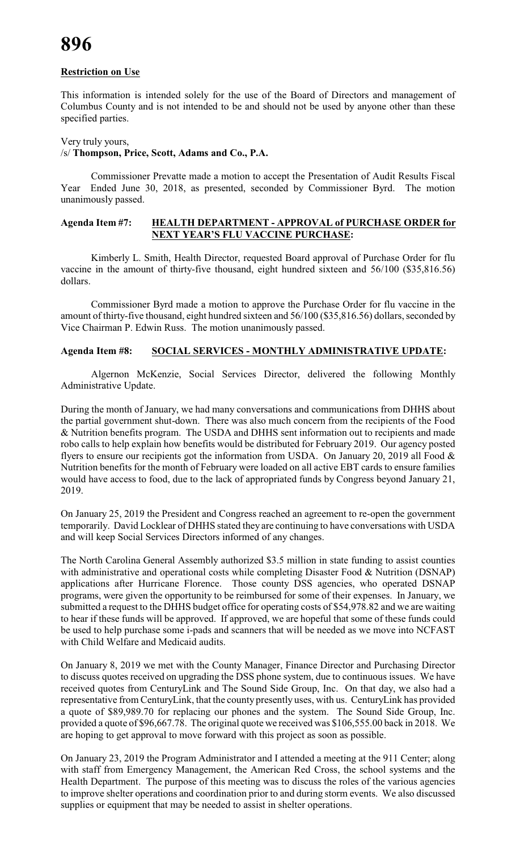#### **Restriction on Use**

This information is intended solely for the use of the Board of Directors and management of Columbus County and is not intended to be and should not be used by anyone other than these specified parties.

#### Very truly yours,

#### /s/ **Thompson, Price, Scott, Adams and Co., P.A.**

Commissioner Prevatte made a motion to accept the Presentation of Audit Results Fiscal Year Ended June 30, 2018, as presented, seconded by Commissioner Byrd. The motion unanimously passed.

#### **Agenda Item #7: HEALTH DEPARTMENT - APPROVAL of PURCHASE ORDER for NEXT YEAR'S FLU VACCINE PURCHASE:**

Kimberly L. Smith, Health Director, requested Board approval of Purchase Order for flu vaccine in the amount of thirty-five thousand, eight hundred sixteen and 56/100 (\$35,816.56) dollars.

Commissioner Byrd made a motion to approve the Purchase Order for flu vaccine in the amount of thirty-five thousand, eight hundred sixteen and 56/100 (\$35,816.56) dollars, seconded by Vice Chairman P. Edwin Russ. The motion unanimously passed.

#### **Agenda Item #8: SOCIAL SERVICES - MONTHLY ADMINISTRATIVE UPDATE:**

Algernon McKenzie, Social Services Director, delivered the following Monthly Administrative Update.

During the month of January, we had many conversations and communications from DHHS about the partial government shut-down. There was also much concern from the recipients of the Food & Nutrition benefits program. The USDA and DHHS sent information out to recipients and made robo calls to help explain how benefits would be distributed for February 2019. Our agency posted flyers to ensure our recipients got the information from USDA. On January 20, 2019 all Food & Nutrition benefits for the month of February were loaded on all active EBT cards to ensure families would have access to food, due to the lack of appropriated funds by Congress beyond January 21, 2019.

On January 25, 2019 the President and Congress reached an agreement to re-open the government temporarily. David Locklear of DHHS stated they are continuing to have conversations with USDA and will keep Social Services Directors informed of any changes.

The North Carolina General Assembly authorized \$3.5 million in state funding to assist counties with administrative and operational costs while completing Disaster Food & Nutrition (DSNAP) applications after Hurricane Florence. Those county DSS agencies, who operated DSNAP programs, were given the opportunity to be reimbursed for some of their expenses. In January, we submitted a request to the DHHS budget office for operating costs of \$54,978.82 and we are waiting to hear if these funds will be approved. If approved, we are hopeful that some of these funds could be used to help purchase some i-pads and scanners that will be needed as we move into NCFAST with Child Welfare and Medicaid audits.

On January 8, 2019 we met with the County Manager, Finance Director and Purchasing Director to discuss quotes received on upgrading the DSS phone system, due to continuous issues. We have received quotes from CenturyLink and The Sound Side Group, Inc. On that day, we also had a representative from CenturyLink, that the county presently uses, with us. CenturyLink has provided a quote of \$89,989.70 for replacing our phones and the system. The Sound Side Group, Inc. provided a quote of \$96,667.78. The original quote we received was \$106,555.00 back in 2018. We are hoping to get approval to move forward with this project as soon as possible.

On January 23, 2019 the Program Administrator and I attended a meeting at the 911 Center; along with staff from Emergency Management, the American Red Cross, the school systems and the Health Department. The purpose of this meeting was to discuss the roles of the various agencies to improve shelter operations and coordination prior to and during storm events. We also discussed supplies or equipment that may be needed to assist in shelter operations.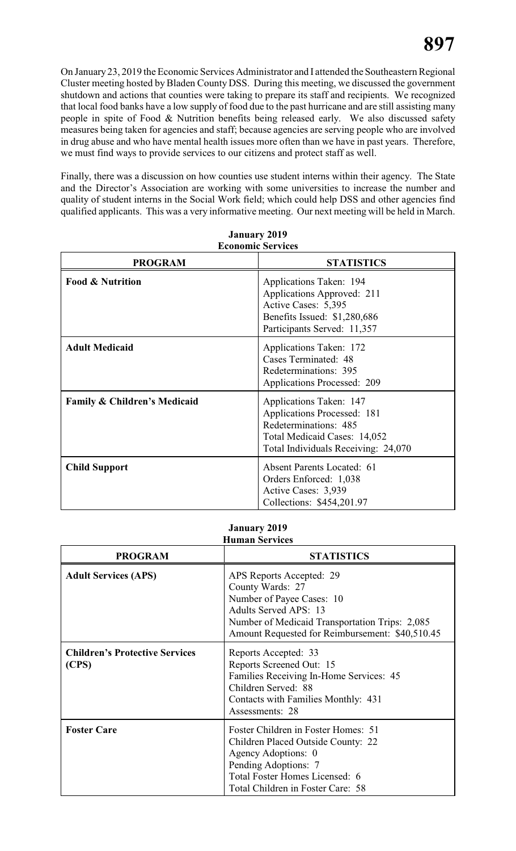On January 23, 2019 the Economic Services Administrator and I attended the Southeastern Regional Cluster meeting hosted by Bladen County DSS. During this meeting, we discussed the government shutdown and actions that counties were taking to prepare its staff and recipients. We recognized that local food banks have a low supply of food due to the past hurricane and are still assisting many people in spite of Food & Nutrition benefits being released early. We also discussed safety measures being taken for agencies and staff; because agencies are serving people who are involved in drug abuse and who have mental health issues more often than we have in past years. Therefore, we must find ways to provide services to our citizens and protect staff as well.

Finally, there was a discussion on how counties use student interns within their agency. The State and the Director's Association are working with some universities to increase the number and quality of student interns in the Social Work field; which could help DSS and other agencies find qualified applicants. This was a very informative meeting. Our next meeting will be held in March.

| <b>PROGRAM</b>               | <b>STATISTICS</b>                                                                                                                                      |
|------------------------------|--------------------------------------------------------------------------------------------------------------------------------------------------------|
| <b>Food &amp; Nutrition</b>  | Applications Taken: 194<br>Applications Approved: 211<br>Active Cases: 5,395<br>Benefits Issued: \$1,280,686<br>Participants Served: 11,357            |
| <b>Adult Medicaid</b>        | Applications Taken: 172<br>Cases Terminated: 48<br>Redeterminations: 395<br><b>Applications Processed: 209</b>                                         |
| Family & Children's Medicaid | Applications Taken: 147<br>Applications Processed: 181<br>Redeterminations: 485<br>Total Medicaid Cases: 14,052<br>Total Individuals Receiving: 24,070 |
| <b>Child Support</b>         | <b>Absent Parents Located: 61</b><br>Orders Enforced: 1,038<br>Active Cases: 3,939<br>Collections: \$454,201.97                                        |

**January 2019 Economic Services**

#### **January 2019 Human Services**

| <b>PROGRAM</b>                                 | <b>STATISTICS</b>                                                                                                                                                                                              |
|------------------------------------------------|----------------------------------------------------------------------------------------------------------------------------------------------------------------------------------------------------------------|
| <b>Adult Services (APS)</b>                    | APS Reports Accepted: 29<br>County Wards: 27<br>Number of Payee Cases: 10<br><b>Adults Served APS: 13</b><br>Number of Medicaid Transportation Trips: 2,085<br>Amount Requested for Reimbursement: \$40,510.45 |
| <b>Children's Protective Services</b><br>(CPS) | Reports Accepted: 33<br>Reports Screened Out: 15<br>Families Receiving In-Home Services: 45<br>Children Served: 88<br>Contacts with Families Monthly: 431<br>Assessments: 28                                   |
| <b>Foster Care</b>                             | Foster Children in Foster Homes: 51<br>Children Placed Outside County: 22<br>Agency Adoptions: 0<br>Pending Adoptions: 7<br>Total Foster Homes Licensed: 6<br>Total Children in Foster Care: 58                |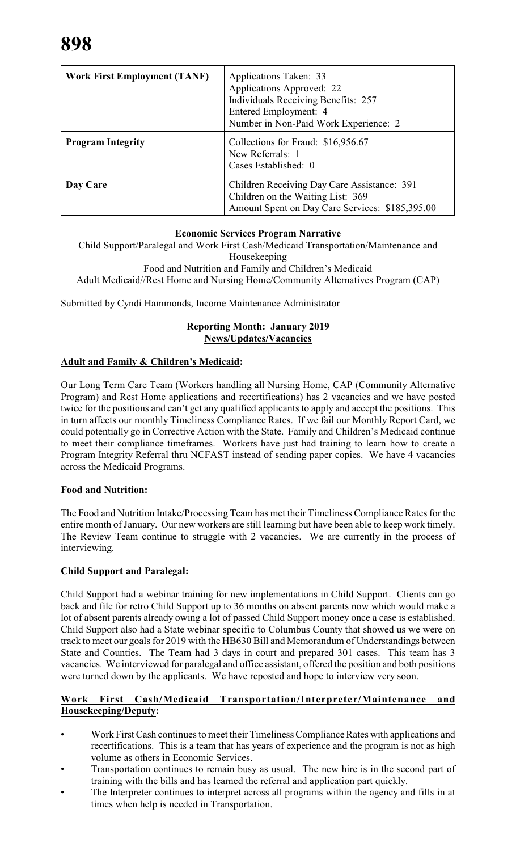| <b>Work First Employment (TANF)</b> | Applications Taken: 33<br>Applications Approved: 22<br>Individuals Receiving Benefits: 257<br>Entered Employment: 4<br>Number in Non-Paid Work Experience: 2 |
|-------------------------------------|--------------------------------------------------------------------------------------------------------------------------------------------------------------|
| <b>Program Integrity</b>            | Collections for Fraud: \$16,956.67<br>New Referrals: 1<br>Cases Established: 0                                                                               |
| Day Care                            | Children Receiving Day Care Assistance: 391<br>Children on the Waiting List: 369<br>Amount Spent on Day Care Services: \$185,395.00                          |

#### **Economic Services Program Narrative**

Child Support/Paralegal and Work First Cash/Medicaid Transportation/Maintenance and Housekeeping

Food and Nutrition and Family and Children's Medicaid Adult Medicaid//Rest Home and Nursing Home/Community Alternatives Program (CAP)

Submitted by Cyndi Hammonds, Income Maintenance Administrator

#### **Reporting Month: January 2019 News/Updates/Vacancies**

## **Adult and Family & Children's Medicaid:**

Our Long Term Care Team (Workers handling all Nursing Home, CAP (Community Alternative Program) and Rest Home applications and recertifications) has 2 vacancies and we have posted twice for the positions and can't get any qualified applicants to apply and accept the positions. This in turn affects our monthly Timeliness Compliance Rates. If we fail our Monthly Report Card, we could potentially go in Corrective Action with the State. Family and Children's Medicaid continue to meet their compliance timeframes. Workers have just had training to learn how to create a Program Integrity Referral thru NCFAST instead of sending paper copies. We have 4 vacancies across the Medicaid Programs.

#### **Food and Nutrition:**

The Food and Nutrition Intake/Processing Team has met their Timeliness Compliance Rates for the entire month of January. Our new workers are still learning but have been able to keep work timely. The Review Team continue to struggle with 2 vacancies. We are currently in the process of interviewing.

## **Child Support and Paralegal:**

Child Support had a webinar training for new implementations in Child Support. Clients can go back and file for retro Child Support up to 36 months on absent parents now which would make a lot of absent parents already owing a lot of passed Child Support money once a case is established. Child Support also had a State webinar specific to Columbus County that showed us we were on track to meet our goals for 2019 with the HB630 Bill and Memorandum of Understandings between State and Counties. The Team had 3 days in court and prepared 301 cases. This team has 3 vacancies. We interviewed for paralegal and office assistant, offered the position and both positions were turned down by the applicants. We have reposted and hope to interview very soon.

#### **Work First Cash/Medicaid Transportation/Interpreter/Maintenance and Housekeeping/Deputy:**

- Work First Cash continues to meet their Timeliness ComplianceRates with applications and recertifications. This is a team that has years of experience and the program is not as high volume as others in Economic Services.
- Transportation continues to remain busy as usual. The new hire is in the second part of training with the bills and has learned the referral and application part quickly.
- The Interpreter continues to interpret across all programs within the agency and fills in at times when help is needed in Transportation.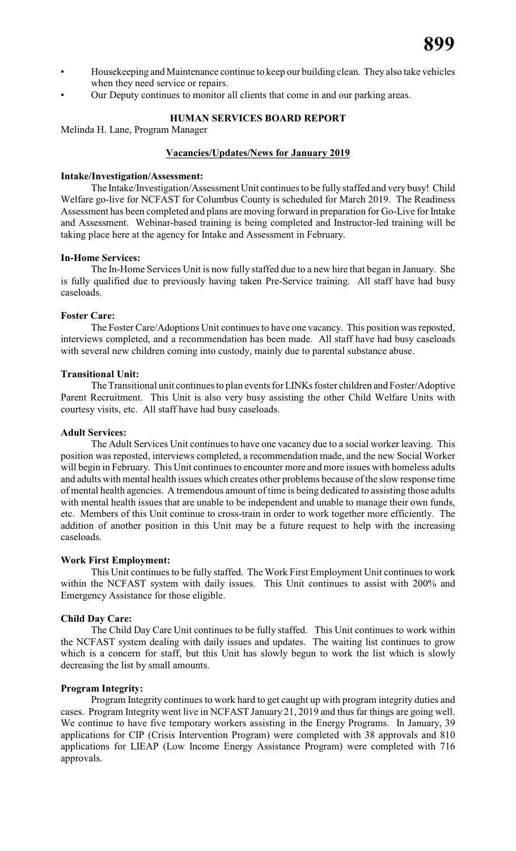- Housekeeping and Maintenance continue to keep our building clean. They also take vehicles when they need service or repairs.
- Our Deputy continues to monitor all clients that come in and our parking areas.

#### **HUMAN SERVICES BOARD REPORT**

Melinda H. Lane, Program Manager

#### **Vacancies/Updates/News for January 2019**

#### **Intake/Investigation/Assessment:**

The Intake/Investigation/Assessment Unit continues to be fully staffed and very busy! Child Welfare go-live for NCFAST for Columbus County is scheduled for March 2019. The Readiness Assessment has been completed and plans are moving forward in preparation for Go-Live for Intake and Assessment. Webinar-based training is being completed and Instructor-led training will be taking place here at the agency for Intake and Assessment in February.

#### **In-Home Services:**

The In-Home Services Unit is now fully staffed due to a new hire that began in January. She is fully qualified due to previously having taken Pre-Service training. All staff have had busy caseloads.

#### **Foster Care:**

The Foster Care/Adoptions Unit continues to have one vacancy. This position was reposted, interviews completed, and a recommendation has been made. All staff have had busy caseloads with several new children coming into custody, mainly due to parental substance abuse.

#### **Transitional Unit:**

The Transitional unit continues to plan events forLINKs foster children and Foster/Adoptive Parent Recruitment. This Unit is also very busy assisting the other Child Welfare Units with courtesy visits, etc. All staff have had busy caseloads.

#### **Adult Services:**

The Adult Services Unit continues to have one vacancy due to a social worker leaving. This position was reposted, interviews completed, a recommendation made, and the new Social Worker will begin in February. This Unit continues to encounter more and more issues with homeless adults and adults with mental health issues which creates other problems because of the slow response time of mental health agencies. A tremendous amount of time is being dedicated to assisting those adults with mental health issues that are unable to be independent and unable to manage their own funds, etc. Members of this Unit continue to cross-train in order to work together more efficiently. The addition of another position in this Unit may be a future request to help with the increasing caseloads.

#### **Work First Employment:**

This Unit continues to be fully staffed. The Work First Employment Unit continues to work within the NCFAST system with daily issues. This Unit continues to assist with 200% and Emergency Assistance for those eligible.

#### **Child Day Care:**

The Child Day Care Unit continues to be fully staffed. This Unit continues to work within the NCFAST system dealing with daily issues and updates. The waiting list continues to grow which is a concern for staff, but this Unit has slowly begun to work the list which is slowly decreasing the list by small amounts.

#### **Program Integrity:**

Program Integrity continues to work hard to get caught up with program integrity duties and cases. Program Integrity went live in NCFAST January 21, 2019 and thus far things are going well. We continue to have five temporary workers assisting in the Energy Programs. In January, 39 applications for CIP (Crisis Intervention Program) were completed with 38 approvals and 810 applications for LIEAP (Low Income Energy Assistance Program) were completed with 716 approvals.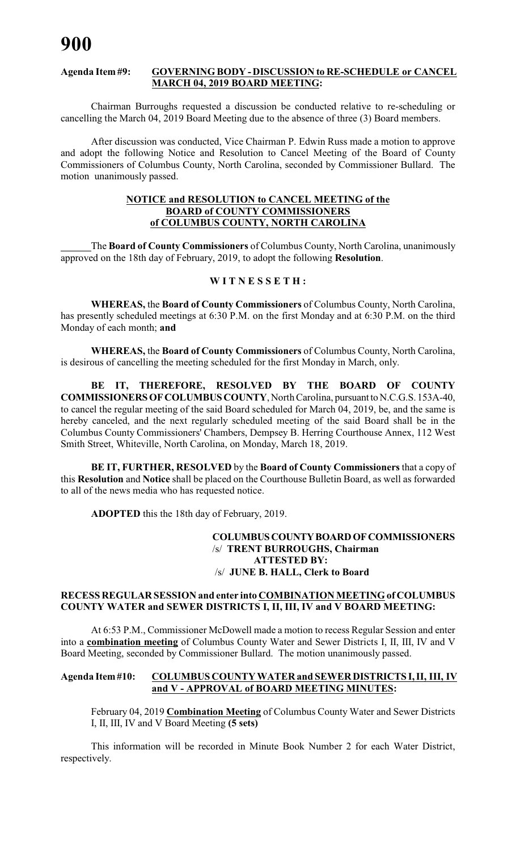#### **Agenda Item #9: GOVERNING BODY - DISCUSSION to RE-SCHEDULE or CANCEL MARCH 04, 2019 BOARD MEETING:**

Chairman Burroughs requested a discussion be conducted relative to re-scheduling or cancelling the March 04, 2019 Board Meeting due to the absence of three (3) Board members.

After discussion was conducted, Vice Chairman P. Edwin Russ made a motion to approve and adopt the following Notice and Resolution to Cancel Meeting of the Board of County Commissioners of Columbus County, North Carolina, seconded by Commissioner Bullard. The motion unanimously passed.

#### **NOTICE and RESOLUTION to CANCEL MEETING of the BOARD of COUNTY COMMISSIONERS of COLUMBUS COUNTY, NORTH CAROLINA**

The **Board of County Commissioners** of Columbus County, North Carolina, unanimously approved on the 18th day of February, 2019, to adopt the following **Resolution**.

#### **W I T N E S S E T H :**

**WHEREAS,** the **Board of County Commissioners** of Columbus County, North Carolina, has presently scheduled meetings at 6:30 P.M. on the first Monday and at 6:30 P.M. on the third Monday of each month; **and**

**WHEREAS,** the **Board of County Commissioners** of Columbus County, North Carolina, is desirous of cancelling the meeting scheduled for the first Monday in March, only.

**BE IT, THEREFORE, RESOLVED BY THE BOARD OF COUNTY COMMISSIONERS OF COLUMBUS COUNTY**, North Carolina, pursuant to N.C.G.S. 153A-40, to cancel the regular meeting of the said Board scheduled for March 04, 2019, be, and the same is hereby canceled, and the next regularly scheduled meeting of the said Board shall be in the Columbus County Commissioners' Chambers, Dempsey B. Herring Courthouse Annex, 112 West Smith Street, Whiteville, North Carolina, on Monday, March 18, 2019.

**BE IT, FURTHER, RESOLVED** by the **Board of County Commissioners** that a copy of this **Resolution** and **Notice** shall be placed on the Courthouse Bulletin Board, as well as forwarded to all of the news media who has requested notice.

**ADOPTED** this the 18th day of February, 2019.

#### **COLUMBUS COUNTY BOARD OF COMMISSIONERS** /s/ **TRENT BURROUGHS, Chairman ATTESTED BY:** /s/ **JUNE B. HALL, Clerk to Board**

#### **RECESS REGULAR SESSION and enter into COMBINATION MEETING of COLUMBUS COUNTY WATER and SEWER DISTRICTS I, II, III, IV and V BOARD MEETING:**

At 6:53 P.M., Commissioner McDowell made a motion to recess Regular Session and enter into a **combination meeting** of Columbus County Water and Sewer Districts I, II, III, IV and V Board Meeting, seconded by Commissioner Bullard. The motion unanimously passed.

#### **Agenda Item #10: COLUMBUS COUNTY WATER and SEWER DISTRICTS I, II, III, IV and V - APPROVAL of BOARD MEETING MINUTES:**

February 04, 2019 **Combination Meeting** of Columbus County Water and Sewer Districts I, II, III, IV and V Board Meeting **(5 sets)**

This information will be recorded in Minute Book Number 2 for each Water District, respectively.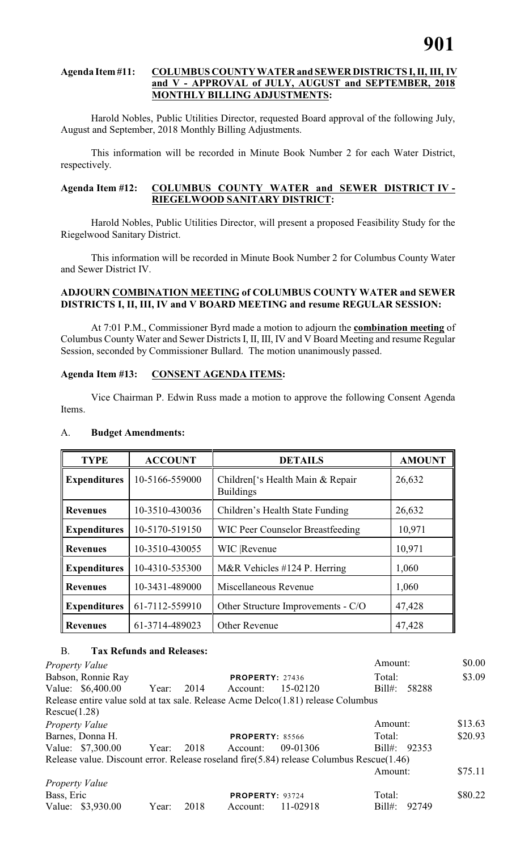#### **Agenda Item #11: COLUMBUS COUNTY WATER and SEWER DISTRICTS I, II, III, IV and V - APPROVAL of JULY, AUGUST and SEPTEMBER, 2018 MONTHLY BILLING ADJUSTMENTS:**

Harold Nobles, Public Utilities Director, requested Board approval of the following July, August and September, 2018 Monthly Billing Adjustments.

This information will be recorded in Minute Book Number 2 for each Water District, respectively.

#### **Agenda Item #12: COLUMBUS COUNTY WATER and SEWER DISTRICT IV - RIEGELWOOD SANITARY DISTRICT:**

Harold Nobles, Public Utilities Director, will present a proposed Feasibility Study for the Riegelwood Sanitary District.

This information will be recorded in Minute Book Number 2 for Columbus County Water and Sewer District IV.

#### **ADJOURN COMBINATION MEETING of COLUMBUS COUNTY WATER and SEWER DISTRICTS I, II, III, IV and V BOARD MEETING and resume REGULAR SESSION:**

At 7:01 P.M., Commissioner Byrd made a motion to adjourn the **combination meeting** of Columbus County Water and Sewer Districts I, II, III, IV and V Board Meeting and resume Regular Session, seconded by Commissioner Bullard. The motion unanimously passed.

#### **Agenda Item #13: CONSENT AGENDA ITEMS:**

Vice Chairman P. Edwin Russ made a motion to approve the following Consent Agenda Items.

| <b>TYPE</b>         | <b>ACCOUNT</b> | <b>DETAILS</b>                                                   | <b>AMOUNT</b> |
|---------------------|----------------|------------------------------------------------------------------|---------------|
| <b>Expenditures</b> | 10-5166-559000 | Children <sup>['s Health</sup> Main & Repair<br><b>Buildings</b> | 26,632        |
| <b>Revenues</b>     | 10-3510-430036 | Children's Health State Funding                                  | 26,632        |
| <b>Expenditures</b> | 10-5170-519150 | <b>WIC Peer Counselor Breastfeeding</b>                          | 10,971        |
| <b>Revenues</b>     | 10-3510-430055 | <b>WIC</b> Revenue                                               | 10,971        |
| <b>Expenditures</b> | 10-4310-535300 | M&R Vehicles #124 P. Herring                                     | 1,060         |
| <b>Revenues</b>     | 10-3431-489000 | Miscellaneous Revenue                                            | 1,060         |
| <b>Expenditures</b> | 61-7112-559910 | Other Structure Improvements - C/O                               | 47,428        |
| <b>Revenues</b>     | 61-3714-489023 | Other Revenue                                                    | 47,428        |

#### A. **Budget Amendments:**

#### B. **Tax Refunds and Releases:**

| Property Value        |                    |       |      |                        |                                                                                          | Amount:         |       | \$0.00  |
|-----------------------|--------------------|-------|------|------------------------|------------------------------------------------------------------------------------------|-----------------|-------|---------|
|                       | Babson, Ronnie Ray |       |      | <b>PROPERTY: 27436</b> |                                                                                          | Total:          |       | \$3.09  |
|                       | Value: \$6,400.00  | Year: | 2014 | Account:               | 15-02120                                                                                 | $\text{Bill#:}$ | 58288 |         |
|                       |                    |       |      |                        | Release entire value sold at tax sale. Release Acme Delco(1.81) release Columbus         |                 |       |         |
| Rescue(1.28)          |                    |       |      |                        |                                                                                          |                 |       |         |
| <b>Property Value</b> |                    |       |      |                        |                                                                                          | Amount:         |       | \$13.63 |
|                       | Barnes, Donna H.   |       |      | <b>PROPERTY: 85566</b> |                                                                                          | Total:          |       | \$20.93 |
|                       | Value: \$7,300.00  | Year: | 2018 | Account:               | 09-01306                                                                                 | Bill#: 92353    |       |         |
|                       |                    |       |      |                        | Release value. Discount error. Release roseland fire(5.84) release Columbus Rescue(1.46) |                 |       |         |
|                       |                    |       |      |                        |                                                                                          | Amount:         |       | \$75.11 |
| <i>Property Value</i> |                    |       |      |                        |                                                                                          |                 |       |         |
| Bass, Eric            |                    |       |      | <b>PROPERTY: 93724</b> |                                                                                          | Total:          |       | \$80.22 |
|                       | Value: \$3,930.00  | Year: | 2018 | Account:               | 11-02918                                                                                 | $Bill#$ :       | 92749 |         |
|                       |                    |       |      |                        |                                                                                          |                 |       |         |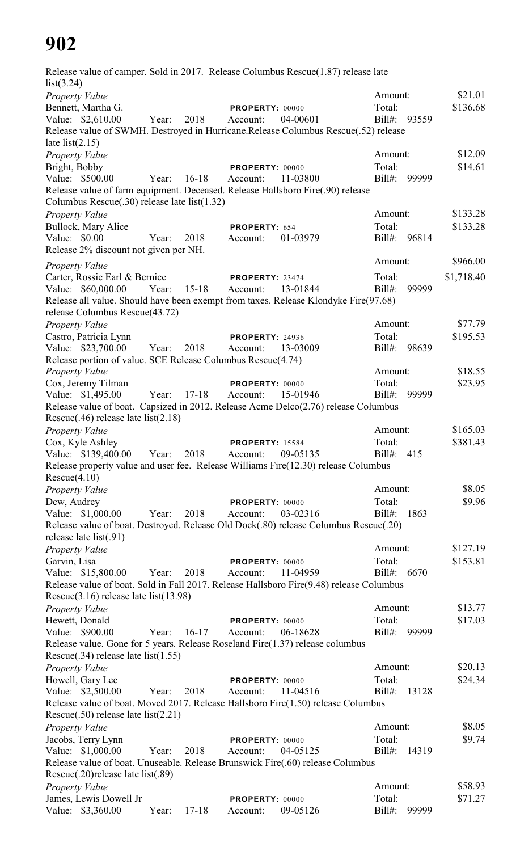Release value of camper. Sold in 2017. Release Columbus Rescue(1.87) release late list(3.24) *Property Value* \$21.01 Bennett, Martha G. **PROPERTY:** 00000 Total: \$136.68 Value: \$2,610.00 Year: 2018 Account: 04-00601 Bill#: 93559 Release value of SWMH. Destroyed in Hurricane.Release Columbus Rescue(.52) release late  $list(2.15)$ *Property Value* \$12.09 Bright, Bobby **PROPERTY:** 00000 Total: \$14.61 Value: \$500.00 Year: 16-18 Account: 11-03800 Bill#: 99999 Release value of farm equipment. Deceased. Release Hallsboro Fire(.90) release Columbus Rescue(.30) release late list(1.32) *Property Value* \$133.28 Bullock, Mary Alice **PROPERTY:** 654 Total: \$133.28 Value: \$0.00 Year: 2018 Account: 01-03979 Bill#: 96814 Release 2% discount not given per NH. *Property Value* \$966.00 Carter, Rossie Earl & Bernice **PROPERTY**: 23474 Total: \$1,718.40 Value: \$60,000.00 Year: 15-18 Account: 13-01844 Bill#: 99999 Release all value. Should have been exempt from taxes. Release Klondyke Fire(97.68) release Columbus Rescue(43.72) *Property Value* \$77.79 Castro, Patricia Lynn **PROPERTY:** 24936 Total: \$195.53 Value: \$23,700.00 Year: 2018 Account: 13-03009 Bill#: 98639 Release portion of value. SCE Release Columbus Rescue(4.74) *Property Value* \$18.55 Cox, Jeremy Tilman **PROPERTY:** 00000 Total: \$23.95 Value: \$1,495.00 Year: 17-18 Account: 15-01946 Bill#: 99999 Release value of boat. Capsized in 2012. Release Acme Delco(2.76) release Columbus Rescue(.46) release late list(2.18) *Property Value* \$165.03 Cox, Kyle Ashley **PROPERTY**: 15584 Total: \$381.43 Value: \$139,400.00 Year: 2018 Account: 09-05135 Bill#: 415 Release property value and user fee. Release Williams Fire(12.30) release Columbus  $Rescue(4.10)$ *Property Value* \$8.05 Dew, Audrey **PROPERTY:** 00000 Total: \$9.96 Value: \$1,000.00 Year: 2018 Account: 03-02316 Bill#: 1863 Release value of boat. Destroyed. Release Old Dock(.80) release Columbus Rescue(.20) release late list(.91) *Property Value* \$127.19 Garvin, Lisa **PROPERTY:** 00000 Total: \$153.81 Value: \$15,800.00 Year: 2018 Account: 11-04959 Bill#: 6670 Release value of boat. Sold in Fall 2017. Release Hallsboro Fire(9.48) release Columbus Rescue(3.16) release late list(13.98) *Property Value* \$13.77 Hewett, Donald **PROPERTY:** 00000 Total: \$17.03 Value: \$900.00 Year: 16-17 Account: 06-18628 Bill#: 99999 Release value. Gone for 5 years. Release Roseland Fire(1.37) release columbus Rescue(.34) release late list(1.55) *Property Value* \$20.13 Howell, Gary Lee **PROPERTY:** 00000 Total: \$24.34 Value: \$2,500.00 Year: 2018 Account: 11-04516 Bill#: 13128 Release value of boat. Moved 2017. Release Hallsboro Fire(1.50) release Columbus Rescue(.50) release late list(2.21) *Property Value* \$8.05 Jacobs, Terry Lynn **PROPERTY:** 00000 Total: \$9.74 Value: \$1,000.00 Year: 2018 Account: 04-05125 Bill#: 14319 Release value of boat. Unuseable. Release Brunswick Fire(.60) release Columbus Rescue(.20)release late list(.89) *Property Value* \$58.93 James, Lewis Dowell Jr **PROPERTY:** 00000 Total: \$71.27 Value: \$3,360.00 Year: 17-18 Account: 09-05126 Bill#: 99999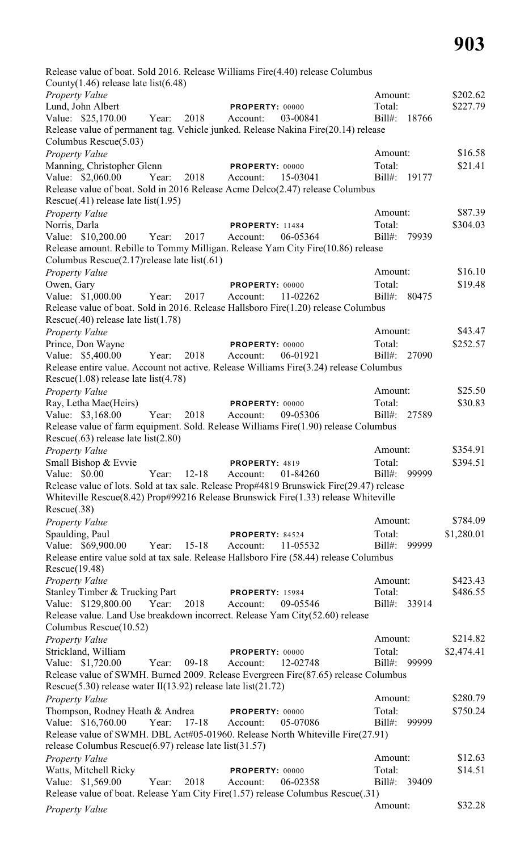| Release value of boat. Sold 2016. Release Williams Fire (4.40) release Columbus                                                                                                |       |           |                                    |          |                        |       |                      |
|--------------------------------------------------------------------------------------------------------------------------------------------------------------------------------|-------|-----------|------------------------------------|----------|------------------------|-------|----------------------|
| County $(1.46)$ release late list $(6.48)$                                                                                                                                     |       |           |                                    |          |                        |       |                      |
| Property Value                                                                                                                                                                 |       |           |                                    |          | Amount:<br>Total:      |       | \$202.62<br>\$227.79 |
| Lund, John Albert<br>Value: \$25,170.00                                                                                                                                        | Year: | 2018      | PROPERTY: 00000<br>Account:        | 03-00841 | $Bill#$ :              | 18766 |                      |
| Release value of permanent tag. Vehicle junked. Release Nakina Fire(20.14) release                                                                                             |       |           |                                    |          |                        |       |                      |
| Columbus Rescue(5.03)                                                                                                                                                          |       |           |                                    |          |                        |       |                      |
| Property Value                                                                                                                                                                 |       |           |                                    |          | Amount:                |       | \$16.58              |
| Manning, Christopher Glenn                                                                                                                                                     |       |           | PROPERTY: 00000                    |          | Total:                 |       | \$21.41              |
| Value: \$2,060.00                                                                                                                                                              | Year: | 2018      | Account:                           | 15-03041 | Bill#:                 | 19177 |                      |
| Release value of boat. Sold in 2016 Release Acme Delco(2.47) release Columbus                                                                                                  |       |           |                                    |          |                        |       |                      |
| $Resource(.41)$ release late list(1.95)                                                                                                                                        |       |           |                                    |          |                        |       |                      |
| Property Value                                                                                                                                                                 |       |           |                                    |          | Amount:                |       | \$87.39              |
| Norris, Darla<br>Value: \$10,200.00                                                                                                                                            | Year: | 2017      | <b>PROPERTY: 11484</b><br>Account: | 06-05364 | Total:<br>$Bill#$ :    | 79939 | \$304.03             |
| Release amount. Rebille to Tommy Milligan. Release Yam City Fire(10.86) release                                                                                                |       |           |                                    |          |                        |       |                      |
| Columbus Rescue(2.17) release late list(.61)                                                                                                                                   |       |           |                                    |          |                        |       |                      |
| Property Value                                                                                                                                                                 |       |           |                                    |          | Amount:                |       | \$16.10              |
| Owen, Gary                                                                                                                                                                     |       |           | PROPERTY: 00000                    |          | Total:                 |       | \$19.48              |
| Value: \$1,000.00                                                                                                                                                              | Year: | 2017      | Account:                           | 11-02262 | $Bill#$ :              | 80475 |                      |
| Release value of boat. Sold in 2016. Release Hallsboro Fire(1.20) release Columbus<br>Rescue $(.40)$ release late list $(1.78)$                                                |       |           |                                    |          |                        |       |                      |
| Property Value                                                                                                                                                                 |       |           |                                    |          | Amount:                |       | \$43.47              |
| Prince, Don Wayne                                                                                                                                                              |       |           | PROPERTY: 00000                    |          | Total:                 |       | \$252.57             |
| Value: \$5,400.00                                                                                                                                                              | Year: | 2018      | Account:                           | 06-01921 | Bill#: 27090           |       |                      |
| Release entire value. Account not active. Release Williams Fire(3.24) release Columbus<br>Rescue $(1.08)$ release late list $(4.78)$                                           |       |           |                                    |          |                        |       |                      |
| Property Value                                                                                                                                                                 |       |           |                                    |          | Amount:                |       | \$25.50              |
| Ray, Letha Mae(Heirs)                                                                                                                                                          |       |           | PROPERTY: 00000                    |          | Total:                 |       | \$30.83              |
| Value: \$3,168.00<br>Release value of farm equipment. Sold. Release Williams Fire(1.90) release Columbus                                                                       | Year: | 2018      | Account:                           | 09-05306 | Bill#:                 | 27589 |                      |
| Rescue $(.63)$ release late list $(2.80)$                                                                                                                                      |       |           |                                    |          |                        |       |                      |
| Property Value                                                                                                                                                                 |       |           |                                    |          | Amount:                |       | \$354.91             |
| Small Bishop & Evvie                                                                                                                                                           |       |           | PROPERTY: 4819                     |          | Total:                 |       | \$394.51             |
| Value: \$0.00                                                                                                                                                                  | Year: | $12 - 18$ | Account:                           | 01-84260 | $Bill#$ :              | 99999 |                      |
| Release value of lots. Sold at tax sale. Release Prop#4819 Brunswick Fire(29.47) release<br>Whiteville Rescue(8.42) Prop#99216 Release Brunswick Fire(1.33) release Whiteville |       |           |                                    |          |                        |       |                      |
| Rescue(.38)                                                                                                                                                                    |       |           |                                    |          |                        |       |                      |
| Property Value                                                                                                                                                                 |       |           |                                    |          | Amount:                |       | \$784.09             |
| Spaulding, Paul                                                                                                                                                                |       |           | PROPERTY: 84524                    |          | Total:                 |       | \$1,280.01           |
| Value: \$69,900.00                                                                                                                                                             | Year: | $15-18$   | Account:                           | 11-05532 | $Bill#$ :              | 99999 |                      |
| Release entire value sold at tax sale. Release Hallsboro Fire (58.44) release Columbus<br>Rescue(19.48)                                                                        |       |           |                                    |          |                        |       |                      |
| Property Value                                                                                                                                                                 |       |           |                                    |          | Amount:                |       | \$423.43             |
| Stanley Timber & Trucking Part<br>Value: \$129,800.00                                                                                                                          | Year: | 2018      | <b>PROPERTY: 15984</b><br>Account: | 09-05546 | Total:<br>Bill#: 33914 |       | \$486.55             |
| Release value. Land Use breakdown incorrect. Release Yam City(52.60) release<br>Columbus Rescue(10.52)                                                                         |       |           |                                    |          |                        |       |                      |
| Property Value                                                                                                                                                                 |       |           |                                    |          | Amount:                |       | \$214.82             |
| Strickland, William                                                                                                                                                            |       |           | PROPERTY: 00000                    |          | Total:                 |       | \$2,474.41           |
| Value: \$1,720.00                                                                                                                                                              | Year: | $09-18$   | Account:                           | 12-02748 | Bill#: 99999           |       |                      |
| Release value of SWMH. Burned 2009. Release Evergreen Fire(87.65) release Columbus<br>Rescue(5.30) release water II(13.92) release late list(21.72)                            |       |           |                                    |          |                        |       |                      |
| Property Value                                                                                                                                                                 |       |           |                                    |          | Amount:                |       | \$280.79             |
| Thompson, Rodney Heath & Andrea                                                                                                                                                |       |           | PROPERTY: 00000                    |          | Total:                 |       | \$750.24             |
| Value: \$16,760.00                                                                                                                                                             | Year: | $17 - 18$ | Account:                           | 05-07086 | $Bill#$ :              | 99999 |                      |
| Release value of SWMH. DBL Act#05-01960. Release North Whiteville Fire(27.91)<br>release Columbus Rescue $(6.97)$ release late list $(31.57)$                                  |       |           |                                    |          |                        |       |                      |
| Property Value                                                                                                                                                                 |       |           |                                    |          | Amount:                |       | \$12.63              |
| Watts, Mitchell Ricky<br>Value: \$1,569.00                                                                                                                                     | Year: | 2018      | PROPERTY: 00000<br>Account:        | 06-02358 | Total:<br>Bill#:       | 39409 | \$14.51              |
| Release value of boat. Release Yam City Fire(1.57) release Columbus Rescue(.31)                                                                                                |       |           |                                    |          |                        |       |                      |
| Property Value                                                                                                                                                                 |       |           |                                    |          | Amount:                |       | \$32.28              |
|                                                                                                                                                                                |       |           |                                    |          |                        |       |                      |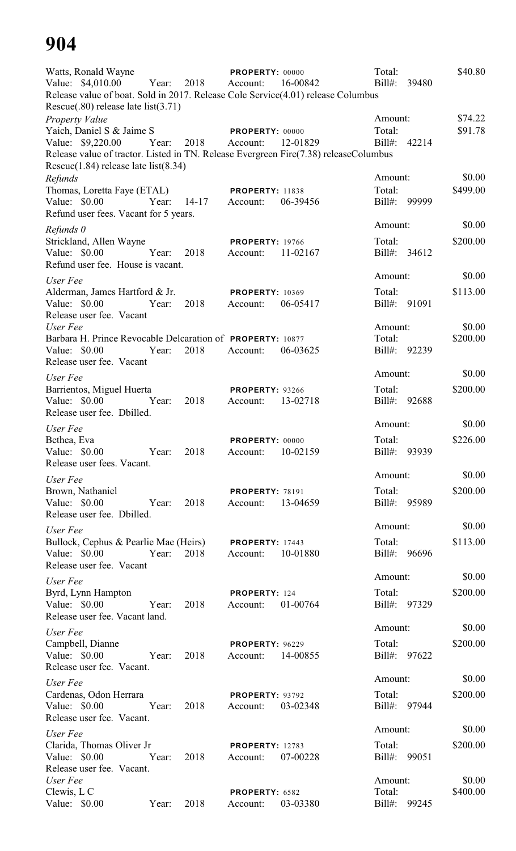| Watts, Ronald Wayne<br>Value: \$4,010.00<br>Release value of boat. Sold in 2017. Release Cole Service(4.01) release Columbus<br>Rescue $(.80)$ release late list $(3.71)$                                     | Year: | 2018        | PROPERTY: 00000<br>Account:                 | 16-00842 | Total:<br>Bill#:                  | 39480 | \$40.80            |
|---------------------------------------------------------------------------------------------------------------------------------------------------------------------------------------------------------------|-------|-------------|---------------------------------------------|----------|-----------------------------------|-------|--------------------|
| <b>Property Value</b><br>Yaich, Daniel S & Jaime S<br>Value: \$9,220.00<br>Release value of tractor. Listed in TN. Release Evergreen Fire(7.38) releaseColumbus<br>Rescue $(1.84)$ release late list $(8.34)$ | Year: | 2018        | PROPERTY: 00000<br>Account:                 | 12-01829 | Amount:<br>Total:<br>Bill#: 42214 |       | \$74.22<br>\$91.78 |
| Refunds<br>Thomas, Loretta Faye (ETAL)<br>Value: \$0.00<br>Refund user fees. Vacant for 5 years.                                                                                                              |       | Year: 14-17 | <b>PROPERTY: 11838</b><br>Account:          | 06-39456 | Amount:<br>Total:<br>Bill#: 99999 |       | \$0.00<br>\$499.00 |
| Refunds 0<br>Strickland, Allen Wayne<br>Value: \$0.00                                                                                                                                                         | Year: | 2018        | <b>PROPERTY: 19766</b><br>Account:          | 11-02167 | Amount:<br>Total:<br>Bill#: 34612 |       | \$0.00<br>\$200.00 |
| Refund user fee. House is vacant.                                                                                                                                                                             |       |             |                                             |          | Amount:                           |       | \$0.00             |
| User Fee<br>Alderman, James Hartford & Jr.<br>Value: \$0.00<br>Release user fee. Vacant                                                                                                                       | Year: | 2018        | <b>PROPERTY: 10369</b><br>Account:          | 06-05417 | Total:<br>Bill#: 91091            |       | \$113.00           |
| User Fee<br>Barbara H. Prince Revocable Delcaration of PROPERTY: 10877<br>Value: \$0.00<br>Release user fee. Vacant                                                                                           | Year: | 2018        | Account:                                    | 06-03625 | Amount:<br>Total:<br>Bill#: 92239 |       | \$0.00<br>\$200.00 |
| User Fee                                                                                                                                                                                                      |       |             |                                             |          | Amount:                           |       | \$0.00             |
| Barrientos, Miguel Huerta<br>Value: \$0.00<br>Release user fee. Dbilled.                                                                                                                                      | Year: | 2018        | PROPERTY: 93266<br>Account:                 | 13-02718 | Total:<br>Bill#: 92688            |       | \$200.00           |
| User Fee                                                                                                                                                                                                      |       |             |                                             |          | Amount:                           |       | \$0.00             |
| Bethea, Eva<br>Value: \$0.00 Year:<br>Release user fees. Vacant.                                                                                                                                              |       | 2018        | PROPERTY: 00000<br>Account: 10-02159        |          | Total:<br>Bill#: 93939            |       | \$226.00           |
| User Fee                                                                                                                                                                                                      |       |             |                                             |          | Amount:                           |       | \$0.00             |
| Brown, Nathaniel<br>Value: \$0.00<br>Release user fee. Dbilled.                                                                                                                                               | Year: | 2018        | <b>PROPERTY: 78191</b><br>Account: 13-04659 |          | Total:<br>Bill#: 95989            |       | \$200.00           |
| User Fee                                                                                                                                                                                                      |       |             |                                             |          | Amount:                           |       | \$0.00             |
| Bullock, Cephus & Pearlie Mae (Heirs) PROPERTY: 17443<br>Value: \$0.00<br>Release user fee. Vacant                                                                                                            | Year: | 2018        | Account: 10-01880                           |          | Total:<br>Bill#: 96696            |       | \$113.00           |
| User Fee                                                                                                                                                                                                      |       |             |                                             |          | Amount:                           |       | \$0.00             |
| Byrd, Lynn Hampton<br>Value: \$0.00 Year:<br>Release user fee. Vacant land.                                                                                                                                   |       | 2018        | PROPERTY: 124<br>Account:                   | 01-00764 | Total:<br>Bill#: 97329            |       | \$200.00           |
| User Fee                                                                                                                                                                                                      |       |             |                                             |          | Amount:                           |       | \$0.00             |
| Campbell, Dianne<br>Value: $$0.00$<br>Release user fee. Vacant.                                                                                                                                               | Year: | 2018        | <b>PROPERTY: 96229</b><br>Account: 14-00855 |          | Total:<br>Bill#: 97622            |       | \$200.00           |
| User Fee                                                                                                                                                                                                      |       |             |                                             |          | Amount:                           |       | \$0.00             |
| Cardenas, Odon Herrara<br>Value: $$0.00$<br>Release user fee. Vacant.                                                                                                                                         | Year: | 2018        | <b>PROPERTY: 93792</b><br>Account:          | 03-02348 | Total:<br>Bill#: 97944            |       | \$200.00           |
| User Fee                                                                                                                                                                                                      |       |             |                                             |          | Amount:                           |       | \$0.00             |
| Clarida, Thomas Oliver Jr<br>Value: $$0.00$<br>Release user fee. Vacant.                                                                                                                                      | Year: | 2018        | <b>PROPERTY: 12783</b><br>Account:          | 07-00228 | Total:<br>Bill#:                  | 99051 | \$200.00           |
| User Fee<br>Clewis, L C<br>Value: \$0.00                                                                                                                                                                      | Year: | 2018        | PROPERTY: 6582<br>Account:                  | 03-03380 | Amount:<br>Total:<br>Bill#:       | 99245 | \$0.00<br>\$400.00 |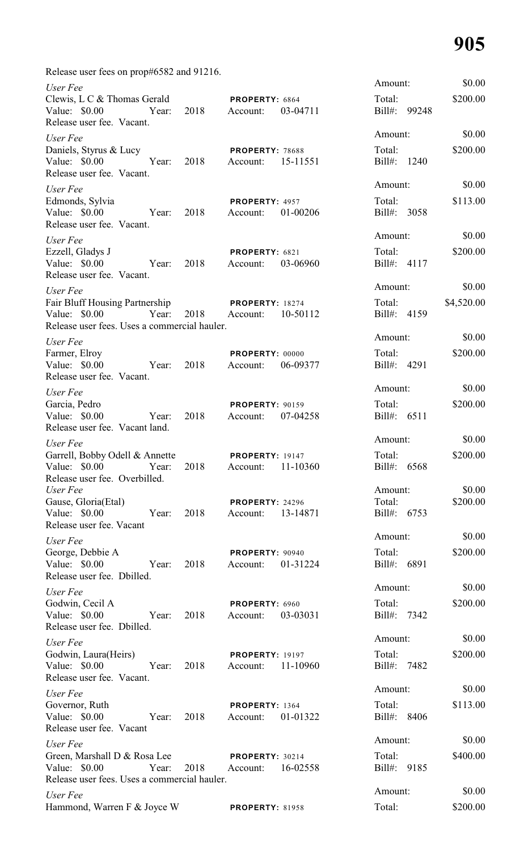Release user fees on prop#6582 and 91216.

| User Fee                                                                                                              |       |               |                                             |          | Amount:                | \$0.00     |
|-----------------------------------------------------------------------------------------------------------------------|-------|---------------|---------------------------------------------|----------|------------------------|------------|
| Clewis, L C & Thomas Gerald<br>Value: \$0.00 Year:<br>Release user fee. Vacant.                                       |       | 2018          | PROPERTY: 6864<br>Account:                  | 03-04711 | Total:<br>Bill#: 99248 | \$200.00   |
| User Fee                                                                                                              |       |               |                                             |          | Amount:                | \$0.00     |
| Daniels, Styrus & Lucy<br>Value: \$0.00 Year:<br>Release user fee. Vacant.                                            |       | 2018          | PROPERTY: 78688<br>Account:                 | 15-11551 | Total:<br>Bill#: 1240  | \$200.00   |
| User Fee                                                                                                              |       |               |                                             |          | Amount:                | \$0.00     |
| Edmonds, Sylvia<br>Value: \$0.00 Year:<br>Release user fee. Vacant.                                                   |       | 2018          | PROPERTY: 4957<br>Account:                  | 01-00206 | Total:<br>Bill#: 3058  | \$113.00   |
| User Fee                                                                                                              |       |               |                                             |          | Amount:                | \$0.00     |
| Ezzell, Gladys J<br>Value: \$0.00 Year:<br>Release user fee. Vacant.                                                  |       | 2018          | PROPERTY: 6821<br>Account:                  | 03-06960 | Total:<br>Bill#: 4117  | \$200.00   |
| User Fee                                                                                                              |       |               |                                             |          | Amount:                | \$0.00     |
| Fair Bluff Housing Partnership PROPERTY: 18274<br>Value: \$0.00 Year:<br>Release user fees. Uses a commercial hauler. |       | 2018 Account: |                                             | 10-50112 | Total:<br>Bill#: 4159  | \$4,520.00 |
| User Fee                                                                                                              |       |               |                                             |          | Amount:                | \$0.00     |
| Farmer, Elroy<br>Value: \$0.00<br>Year:<br>Release user fee. Vacant.                                                  |       | 2018          | PROPERTY: 00000<br>Account:                 | 06-09377 | Total:<br>Bill#: 4291  | \$200.00   |
| User Fee                                                                                                              |       |               |                                             |          | Amount:                | \$0.00     |
| Garcia, Pedro<br>Value: \$0.00<br>Release user fee. Vacant land.                                                      | Year: | 2018          | <b>PROPERTY: 90159</b><br>Account:          | 07-04258 | Total:<br>Bill#: 6511  | \$200.00   |
| User Fee                                                                                                              |       |               |                                             |          | Amount:                | \$0.00     |
| Garrell, Bobby Odell & Annette<br>Value: \$0.00 Year: 2018 Account: 11-10360<br>Release user fee. Overbilled.         |       |               | <b>PROPERTY: 19147</b>                      |          | Total:<br>Bill#: 6568  | \$200.00   |
| User Fee                                                                                                              |       |               |                                             |          | Amount:                | \$0.00     |
| Gause, Gloria(Etal)<br>Value: \$0.00 Year:<br>Release user fee. Vacant                                                |       | 2018          | PROPERTY: 24296<br>Account: 13-14871        |          | Total:<br>Bill#: 6753  | \$200.00   |
| User Fee                                                                                                              |       |               |                                             |          | Amount:                | \$0.00     |
| George, Debbie A<br>Value: \$0.00 Year:<br>Release user fee. Dbilled.                                                 |       | 2018          | PROPERTY: 90940<br>Account: 01-31224        |          | Total:<br>Bill#: 6891  | \$200.00   |
| User Fee                                                                                                              |       |               |                                             |          | Amount:                | \$0.00     |
| Godwin, Cecil A<br>Value: \$0.00 Year:<br>Release user fee. Dbilled.                                                  |       | 2018          | PROPERTY: 6960<br>Account: 03-03031         |          | Total:<br>Bill#: 7342  | \$200.00   |
| User Fee                                                                                                              |       |               |                                             |          | Amount:                | \$0.00     |
| Godwin, Laura(Heirs)<br>Value: \$0.00 Year:<br>Release user fee. Vacant.                                              |       | 2018          | <b>PROPERTY: 19197</b><br>Account: 11-10960 |          | Total:<br>Bill#: 7482  | \$200.00   |
| User Fee                                                                                                              |       |               |                                             |          | Amount:                | \$0.00     |
| Governor, Ruth<br>Value: \$0.00 Year:<br>Release user fee. Vacant                                                     |       | 2018          | PROPERTY: 1364<br>Account: 01-01322         |          | Total:<br>Bill#: 8406  | \$113.00   |
| User Fee                                                                                                              |       |               |                                             |          | Amount:                | \$0.00     |
| Green, Marshall D & Rosa Lee PROPERTY: 30214<br>Value: \$0.00 Year:<br>Release user fees. Uses a commercial hauler.   |       |               | 2018 Account: 16-02558                      |          | Total:<br>Bill#: 9185  | \$400.00   |
| User Fee                                                                                                              |       |               |                                             |          | Amount:                | \$0.00     |
| Hammond, Warren F & Joyce W                                                                                           |       |               | <b>PROPERTY: 81958</b>                      |          | Total:                 | \$200.00   |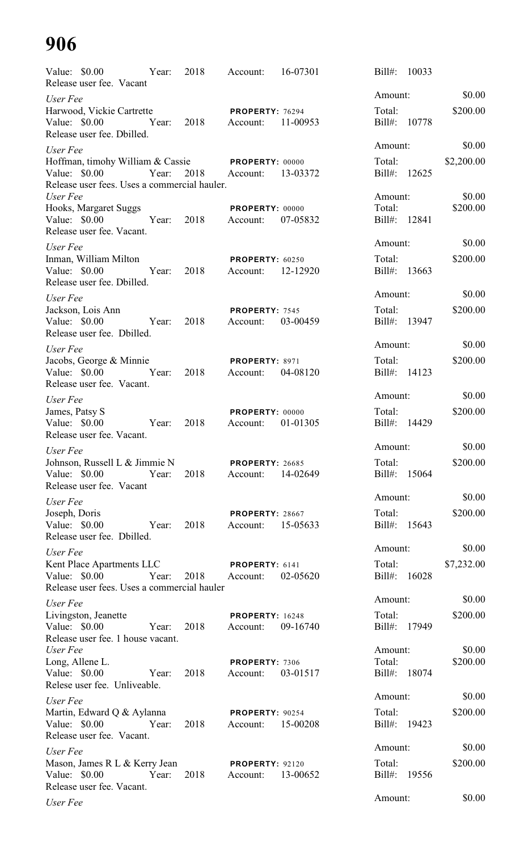|                                | Value: \$0.00 Year:<br>Release user fee. Vacant                             |            | 2018          | Account:                            | 16-07301 | $Bill#$ :<br>10033     |                    |
|--------------------------------|-----------------------------------------------------------------------------|------------|---------------|-------------------------------------|----------|------------------------|--------------------|
| User Fee                       |                                                                             |            |               |                                     |          | Amount:                | \$0.00             |
|                                | Harwood, Vickie Cartrette                                                   |            |               | PROPERTY: 76294                     |          | Total:                 | \$200.00           |
|                                | Value: \$0.00 Year:<br>Release user fee. Dbilled.                           |            | 2018          | Account:                            | 11-00953 | Bill#: 10778           |                    |
| User Fee                       |                                                                             |            |               |                                     |          | Amount:                | \$0.00             |
|                                | Hoffman, timohy William & Cassie PROPERTY: 00000                            |            |               |                                     |          | Total:                 | \$2,200.00         |
| Value: $$0.00$                 | Year:<br>Release user fees. Uses a commercial hauler.                       |            | 2018 Account: |                                     | 13-03372 | Bill#: 12625           |                    |
| User Fee                       | Hooks, Margaret Suggs                                                       |            |               | PROPERTY: 00000                     |          | Amount:<br>Total:      | \$0.00<br>\$200.00 |
|                                | Value: \$0.00 Year:<br>Release user fee. Vacant.                            |            | 2018          | Account: 07-05832                   |          | Bill#: 12841           |                    |
| User Fee                       |                                                                             |            |               |                                     |          | Amount:                | \$0.00             |
|                                | Inman, William Milton                                                       |            |               | <b>PROPERTY: 60250</b>              |          | Total:                 | \$200.00           |
|                                | Value: \$0.00 Year:<br>Release user fee. Dbilled.                           |            | 2018          | Account:                            | 12-12920 | Bill#: 13663           |                    |
| User Fee                       |                                                                             |            |               |                                     |          | Amount:                | \$0.00             |
|                                | Jackson, Lois Ann                                                           |            |               | PROPERTY: 7545                      |          | Total:                 | \$200.00           |
|                                | Value: \$0.00 Year:<br>Release user fee. Dbilled.                           |            | 2018          | Account: 03-00459                   |          | Bill#: 13947           |                    |
| User Fee                       |                                                                             |            |               |                                     |          | Amount:                | \$0.00             |
|                                | Jacobs, George & Minnie<br>Value: \$0.00 Year:<br>Release user fee. Vacant. |            | 2018          | PROPERTY: 8971<br>Account: 04-08120 |          | Total:<br>Bill#: 14123 | \$200.00           |
|                                |                                                                             |            |               |                                     |          | Amount:                | \$0.00             |
| User Fee<br>James, Patsy S     |                                                                             |            |               | <b>PROPERTY: 00000</b>              |          | Total:                 | \$200.00           |
|                                | Value: \$0.00 Year:<br>Release user fee. Vacant.                            |            | 2018          | Account:                            | 01-01305 | Bill#: 14429           |                    |
| User Fee                       |                                                                             |            |               |                                     |          | Amount:                | \$0.00             |
|                                | Johnson, Russell L & Jimmie N <b>PROPERTY</b> : 26685                       |            |               |                                     |          | Total:                 | \$200.00           |
| Value: \$0.00                  | Release user fee. Vacant                                                    | Year: 2018 |               | Account:                            | 14-02649 | Bill#: 15064           |                    |
| User Fee                       |                                                                             |            |               |                                     |          | Amount:                | \$0.00             |
| Joseph, Doris<br>Value: \$0.00 | Release user fee. Dbilled.                                                  | Year:      | 2018          | <b>PROPERTY: 28667</b><br>Account:  | 15-05633 | Total:<br>Bill#: 15643 | \$200.00           |
| User Fee                       |                                                                             |            |               |                                     |          | Amount:                | \$0.00             |
|                                | Kent Place Apartments LLC                                                   |            |               | <b>PROPERTY: 6141</b>               |          | Total:                 | \$7,232.00         |
|                                | Value: \$0.00 Year:<br>Release user fees. Uses a commercial hauler          |            |               | 2018 Account:                       | 02-05620 | Bill#: 16028           |                    |
| User Fee                       |                                                                             |            |               |                                     |          | Amount:                | \$0.00             |
| Value: \$0.00                  | Livingston, Jeanette                                                        | Year:      | 2018          | <b>PROPERTY: 16248</b><br>Account:  | 09-16740 | Total:<br>Bill#: 17949 | \$200.00           |
| User Fee                       | Release user fee. 1 house vacant.                                           |            |               |                                     |          | Amount:                | \$0.00             |
|                                | Long, Allene L.                                                             |            |               | PROPERTY: 7306                      |          | Total:                 | \$200.00           |
| Value: \$0.00                  | Relese user fee. Unliveable.                                                | Year:      | 2018          | Account:                            | 03-01517 | Bill#: 18074           |                    |
| User Fee                       |                                                                             |            |               |                                     |          | Amount:                | \$0.00             |
|                                | Martin, Edward Q & Aylanna<br>Value: $$0.00$<br>Year:                       |            | 2018          | PROPERTY: 90254<br>Account:         | 15-00208 | Total:<br>Bill#: 19423 | \$200.00           |
|                                | Release user fee. Vacant.                                                   |            |               |                                     |          |                        |                    |
| User Fee                       |                                                                             |            |               |                                     |          | Amount:                | \$0.00             |
| Value: \$0.00                  | Mason, James R L & Kerry Jean<br>Release user fee. Vacant.                  | Year:      | 2018          | <b>PROPERTY: 92120</b><br>Account:  | 13-00652 | Total:<br>Bill#: 19556 | \$200.00           |
| User Fee                       |                                                                             |            |               |                                     |          | Amount:                | \$0.00             |
|                                |                                                                             |            |               |                                     |          |                        |                    |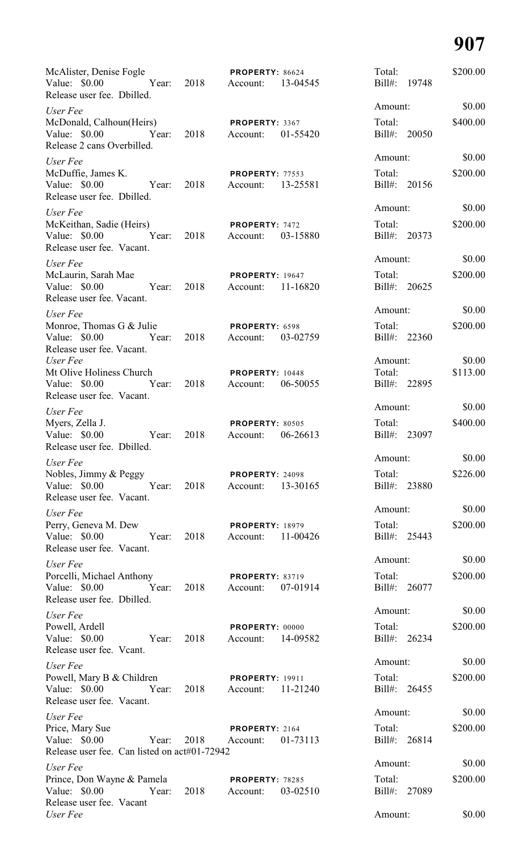| McAlister, Denise Fogle<br>Release user fee. Dbilled.                                             |      | PROPERTY: 86624                                | Total:<br>Bill#: 19748 | \$200.00 |
|---------------------------------------------------------------------------------------------------|------|------------------------------------------------|------------------------|----------|
| User Fee                                                                                          |      |                                                | Amount:                | \$0.00   |
| McDonald, Calhoun(Heirs) PROPERTY: 3367<br>Value: \$0.00 Year: 2018<br>Release 2 cans Overbilled. |      | Account: 01-55420                              | Total:<br>Bill#: 20050 | \$400.00 |
| User Fee                                                                                          |      |                                                | Amount:                | \$0.00   |
| McDuffie, James K.<br>Value: \$0.00 Year: 2018<br>Release user fee. Dbilled.                      |      | <b>PROPERTY: 77553</b><br>Account: 13-25581    | Total:<br>Bill#: 20156 | \$200.00 |
| User Fee                                                                                          |      |                                                | Amount:                | \$0.00   |
| McKeithan, Sadie (Heirs) PROPERTY: 7472<br>Value: \$0.00 Year: 2018<br>Release user fee. Vacant.  |      | Account: 03-15880                              | Total:<br>Bill#: 20373 | \$200.00 |
| User Fee                                                                                          |      |                                                | Amount:                | \$0.00   |
| McLaurin, Sarah Mae<br>Value: \$0.00 Year:<br>Release user fee. Vacant.                           | 2018 | <b>PROPERTY: 19647</b><br>Account: 11-16820    | Total:<br>Bill#: 20625 | \$200.00 |
| User Fee                                                                                          |      |                                                | Amount:                | \$0.00   |
| Monroe, Thomas G $\&$ Julie PROPERTY: 6598<br>Value: \$0.00 Year:<br>Release user fee. Vacant.    | 2018 | Account: 03-02759                              | Total:<br>Bill#: 22360 | \$200.00 |
| User Fee                                                                                          |      |                                                | Amount:                | \$0.00   |
| Mt Olive Holiness Church<br>Value: \$0.00<br>Year: 2018 Account:<br>Release user fee. Vacant.     |      | <b>PROPERTY: 10448</b><br>06-50055             | Total:<br>Bill#: 22895 | \$113.00 |
| User Fee                                                                                          |      |                                                | Amount:                | \$0.00   |
| Myers, Zella J.<br>Value: \$0.00<br>Year:<br>Release user fee. Dbilled.                           | 2018 | <b>PROPERTY: 80505</b><br>06-26613<br>Account: | Total:<br>Bill#: 23097 | \$400.00 |
| User Fee                                                                                          |      |                                                | Amount:                | \$0.00   |
| Nobles, Jimmy & Peggy<br>Value: \$0.00<br>Year:<br>Release user fee. Vacant.                      | 2018 | PROPERTY: 24098<br>13-30165<br>Account:        | Total:<br>Bill#: 23880 | \$226.00 |
| User Fee                                                                                          |      |                                                | Amount:                | \$0.00   |
| Perry, Geneva M. Dew<br>Value: \$0.00<br>Year:<br>Release user fee. Vacant.                       | 2018 | <b>PROPERTY: 18979</b><br>11-00426<br>Account: | Total:<br>Bill#: 25443 | \$200.00 |
| User Fee                                                                                          |      |                                                | Amount:                | \$0.00   |
| Porcelli, Michael Anthony<br>Value: \$0.00<br>Year:<br>Release user fee. Dbilled.                 | 2018 | <b>PROPERTY: 83719</b><br>Account:<br>07-01914 | Total:<br>Bill#: 26077 | \$200.00 |
| User Fee                                                                                          |      |                                                | Amount:                | \$0.00   |
| Powell, Ardell<br>Value: \$0.00<br>Year:<br>Release user fee. Vcant.                              | 2018 | PROPERTY: 00000<br>14-09582<br>Account:        | Total:<br>Bill#: 26234 | \$200.00 |
| User Fee                                                                                          |      |                                                | Amount:                | \$0.00   |
| Powell, Mary B & Children<br>Value: \$0.00<br>Year:<br>Release user fee. Vacant.                  | 2018 | <b>PROPERTY: 19911</b><br>11-21240<br>Account: | Total:<br>Bill#: 26455 | \$200.00 |
| User Fee                                                                                          |      |                                                | Amount:                | \$0.00   |
| Price, Mary Sue<br>Value: \$0.00<br>Year:<br>Release user fee. Can listed on act#01-72942         | 2018 | PROPERTY: 2164<br>01-73113<br>Account:         | Total:<br>Bill#: 26814 | \$200.00 |
| User Fee                                                                                          |      |                                                | Amount:                | \$0.00   |
| Prince, Don Wayne & Pamela<br>Value: \$0.00<br>Year:<br>Release user fee. Vacant                  | 2018 | <b>PROPERTY: 78285</b><br>03-02510<br>Account: | Total:<br>Bill#: 27089 | \$200.00 |
| User Fee                                                                                          |      |                                                | Amount:                | \$0.00   |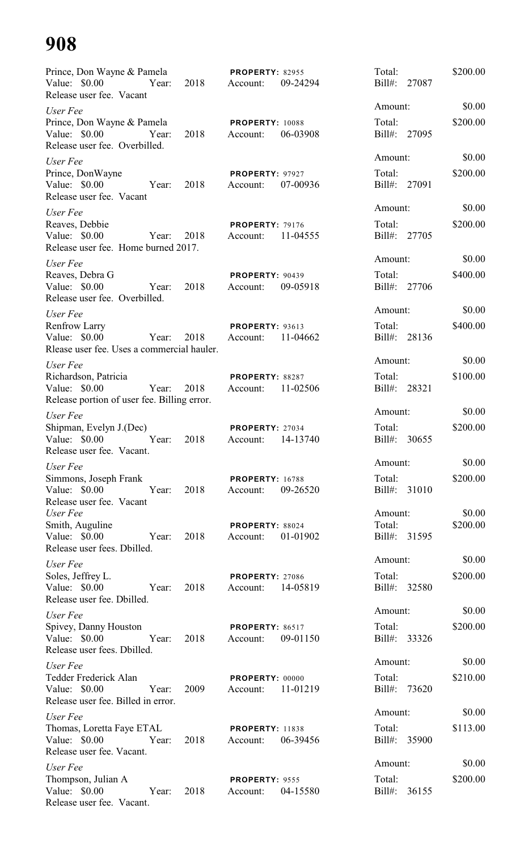| Prince, Don Wayne & Pamela<br>Value: \$0.00<br>Release user fee. Vacant                          | Year: | 2018 | <b>PROPERTY: 82955</b><br>Account: | 09-24294 | Total:<br>Bill#: 27087            |       | \$200.00           |
|--------------------------------------------------------------------------------------------------|-------|------|------------------------------------|----------|-----------------------------------|-------|--------------------|
| User Fee                                                                                         |       |      |                                    |          | Amount:                           |       | \$0.00             |
| Prince, Don Wayne & Pamela<br>Value: $$0.00$<br>Release user fee. Overbilled.                    | Year: | 2018 | PROPERTY: 10088<br>Account:        | 06-03908 | Total:<br>Bill#: 27095            |       | \$200.00           |
| User Fee<br>Prince, DonWayne<br>Value: \$0.00<br>Release user fee. Vacant                        | Year: | 2018 | PROPERTY: 97927<br>Account:        | 07-00936 | Amount:<br>Total:<br>Bill#: 27091 |       | \$0.00<br>\$200.00 |
| User Fee<br>Reaves, Debbie<br>Value: \$0.00<br>Release user fee. Home burned 2017.               | Year: | 2018 | <b>PROPERTY: 79176</b><br>Account: | 11-04555 | Amount:<br>Total:<br>Bill#: 27705 |       | \$0.00<br>\$200.00 |
| User Fee<br>Reaves, Debra G<br>Value: $$0.00$<br>Release user fee. Overbilled.                   | Year: | 2018 | PROPERTY: 90439<br>Account:        | 09-05918 | Amount:<br>Total:<br>Bill#: 27706 |       | \$0.00<br>\$400.00 |
| User Fee<br><b>Renfrow Larry</b><br>Value: $$0.00$<br>Rlease user fee. Uses a commercial hauler. | Year: | 2018 | PROPERTY: 93613<br>Account:        | 11-04662 | Amount:<br>Total:<br>$Bill#$ :    | 28136 | \$0.00<br>\$400.00 |
| User Fee<br>Richardson, Patricia<br>Value: \$0.00<br>Release portion of user fee. Billing error. | Year: | 2018 | PROPERTY: 88287<br>Account:        | 11-02506 | Amount:<br>Total:<br>Bill#:       | 28321 | \$0.00<br>\$100.00 |
| User Fee<br>Shipman, Evelyn J.(Dec)<br>Value: $$0.00$<br>Release user fee. Vacant.               | Year: | 2018 | PROPERTY: 27034<br>Account:        | 14-13740 | Amount:<br>Total:<br>Bill#:       | 30655 | \$0.00<br>\$200.00 |
| User Fee<br>Simmons, Joseph Frank<br>Value: \$0.00<br>Release user fee. Vacant                   | Year: | 2018 | <b>PROPERTY: 16788</b><br>Account: | 09-26520 | Amount:<br>Total:<br>Bill#: 31010 |       | \$0.00<br>\$200.00 |
| User Fee<br>Smith, Auguline<br>Value: $$0.00$<br>Release user fees. Dbilled.                     | Year: | 2018 | PROPERTY: 88024<br>Account:        | 01-01902 | Amount:<br>Total:<br>Bill#: 31595 |       | \$0.00<br>\$200.00 |
| User Fee<br>Soles, Jeffrey L.<br>Value: \$0.00<br>Release user fee. Dbilled.                     | Year: | 2018 | <b>PROPERTY: 27086</b><br>Account: | 14-05819 | Amount:<br>Total:<br>Bill#: 32580 |       | \$0.00<br>\$200.00 |
| User Fee<br>Spivey, Danny Houston<br>Value: $$0.00$<br>Release user fees. Dbilled.               | Year: | 2018 | <b>PROPERTY: 86517</b><br>Account: | 09-01150 | Amount:<br>Total:<br>Bill#: 33326 |       | \$0.00<br>\$200.00 |
| User Fee<br>Tedder Frederick Alan<br>Value: \$0.00<br>Release user fee. Billed in error.         | Year: | 2009 | PROPERTY: 00000<br>Account:        | 11-01219 | Amount:<br>Total:<br>Bill#: 73620 |       | \$0.00<br>\$210.00 |
| User Fee<br>Thomas, Loretta Faye ETAL<br>Value: $$0.00$<br>Year:<br>Release user fee. Vacant.    |       | 2018 | <b>PROPERTY: 11838</b><br>Account: | 06-39456 | Amount:<br>Total:<br>Bill#: 35900 |       | \$0.00<br>\$113.00 |
| User Fee<br>Thompson, Julian A<br>Value: $$0.00$<br>Release user fee. Vacant.                    | Year: | 2018 | PROPERTY: 9555<br>Account:         | 04-15580 | Amount:<br>Total:<br>Bill#: 36155 |       | \$0.00<br>\$200.00 |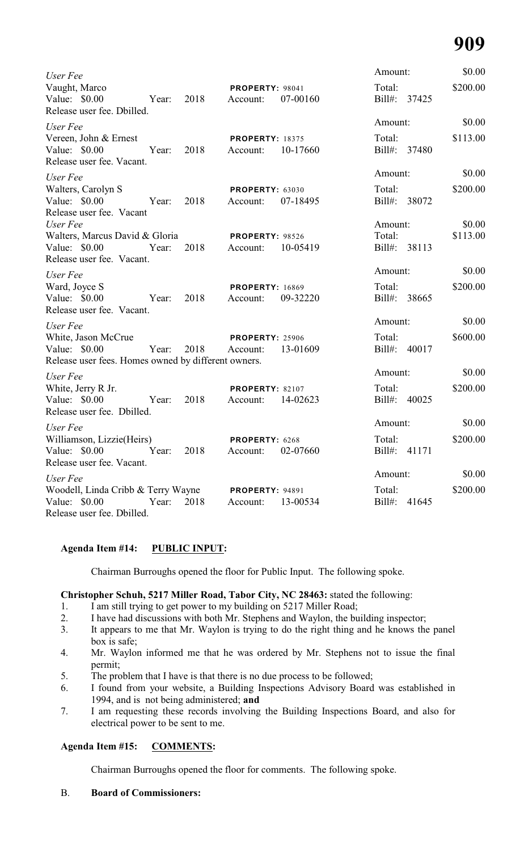| User Fee                                                                                    |       |      |                                    |          | Amount:                |       | \$0.00   |
|---------------------------------------------------------------------------------------------|-------|------|------------------------------------|----------|------------------------|-------|----------|
| Vaught, Marco<br>Value: \$0.00<br>Release user fee. Dbilled.                                | Year: | 2018 | PROPERTY: 98041<br>Account:        | 07-00160 | Total:<br>Bill#: 37425 |       | \$200.00 |
| User Fee                                                                                    |       |      |                                    |          | Amount:                |       | \$0.00   |
| Vereen, John & Ernest<br>Value: \$0.00<br>Release user fee. Vacant.                         | Year: | 2018 | <b>PROPERTY: 18375</b><br>Account: | 10-17660 | Total:<br>Bill#: 37480 |       | \$113.00 |
| User Fee                                                                                    |       |      |                                    |          | Amount:                |       | \$0.00   |
| Walters, Carolyn S<br>Value: \$0.00<br>Release user fee. Vacant                             | Year: | 2018 | <b>PROPERTY: 63030</b><br>Account: | 07-18495 | Total:<br>Bill#: 38072 |       | \$200.00 |
| User Fee                                                                                    |       |      |                                    |          | Amount:                |       | \$0.00   |
| Walters, Marcus David & Gloria<br>Value: $$0.00$<br>Release user fee. Vacant.               | Year: | 2018 | <b>PROPERTY: 98526</b><br>Account: | 10-05419 | Total:<br>Bill#: 38113 |       | \$113.00 |
| User Fee                                                                                    |       |      |                                    |          | Amount:                |       | \$0.00   |
| Ward, Joyce S<br>Value: \$0.00<br>Release user fee. Vacant.                                 | Year: | 2018 | <b>PROPERTY: 16869</b><br>Account: | 09-32220 | Total:<br>Bill#:       | 38665 | \$200.00 |
| User Fee                                                                                    |       |      |                                    |          | Amount:                |       | \$0.00   |
| White, Jason McCrue<br>Value: \$0.00<br>Release user fees. Homes owned by different owners. | Year: | 2018 | <b>PROPERTY: 25906</b><br>Account: | 13-01609 | Total:<br>Bill#:       | 40017 | \$600.00 |
| User Fee                                                                                    |       |      |                                    |          | Amount:                |       | \$0.00   |
| White, Jerry R Jr.<br>Value: \$0.00<br>Release user fee. Dbilled.                           | Year: | 2018 | PROPERTY: 82107<br>Account:        | 14-02623 | Total:<br>Bill#:       | 40025 | \$200.00 |
| User Fee                                                                                    |       |      |                                    |          | Amount:                |       | \$0.00   |
| Williamson, Lizzie(Heirs)<br>Value: \$0.00<br>Release user fee. Vacant.                     | Year: | 2018 | PROPERTY: 6268<br>Account:         | 02-07660 | Total:<br>Bill#:       | 41171 | \$200.00 |
| User Fee                                                                                    |       |      |                                    |          | Amount:                |       | \$0.00   |
| Woodell, Linda Cribb & Terry Wayne<br>Value: \$0.00<br>Release user fee. Dbilled.           | Year: | 2018 | <b>PROPERTY: 94891</b><br>Account: | 13-00534 | Total:<br>Bill#:       | 41645 | \$200.00 |

## **Agenda Item #14: PUBLIC INPUT:**

Chairman Burroughs opened the floor for Public Input. The following spoke.

## **Christopher Schuh, 5217 Miller Road, Tabor City, NC 28463:** stated the following:

- 1. I am still trying to get power to my building on 5217 Miller Road;
- 2. I have had discussions with both Mr. Stephens and Waylon, the building inspector;
- 3. It appears to me that Mr. Waylon is trying to do the right thing and he knows the panel box is safe;
- 4. Mr. Waylon informed me that he was ordered by Mr. Stephens not to issue the final permit;
- 5. The problem that I have is that there is no due process to be followed;
- 6. I found from your website, a Building Inspections Advisory Board was established in 1994, and is not being administered; **and**
- 7. I am requesting these records involving the Building Inspections Board, and also for electrical power to be sent to me.

## **Agenda Item #15: COMMENTS:**

Chairman Burroughs opened the floor for comments. The following spoke.

#### B. **Board of Commissioners:**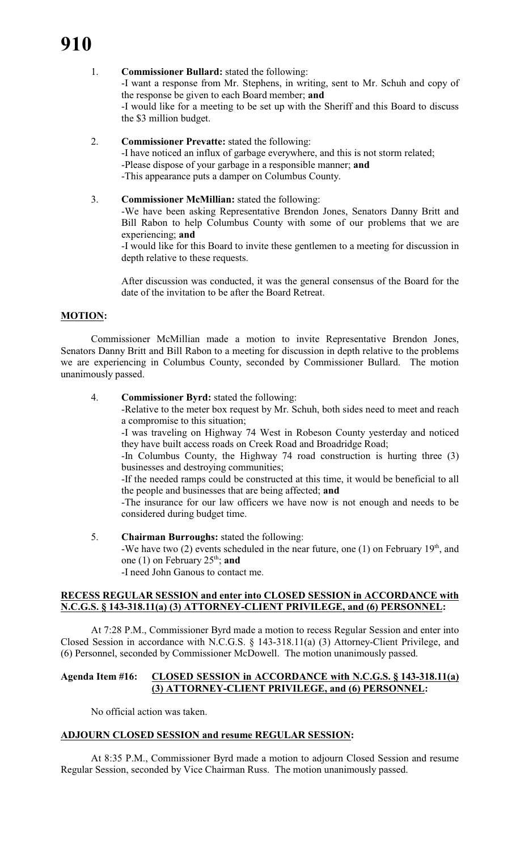#### 1. **Commissioner Bullard:** stated the following:

-I want a response from Mr. Stephens, in writing, sent to Mr. Schuh and copy of the response be given to each Board member; **and** -I would like for a meeting to be set up with the Sheriff and this Board to discuss the \$3 million budget.

2. **Commissioner Prevatte:** stated the following:

-I have noticed an influx of garbage everywhere, and this is not storm related; -Please dispose of your garbage in a responsible manner; **and** -This appearance puts a damper on Columbus County.

3. **Commissioner McMillian:** stated the following:

-We have been asking Representative Brendon Jones, Senators Danny Britt and Bill Rabon to help Columbus County with some of our problems that we are experiencing; **and**

-I would like for this Board to invite these gentlemen to a meeting for discussion in depth relative to these requests.

After discussion was conducted, it was the general consensus of the Board for the date of the invitation to be after the Board Retreat.

## **MOTION:**

Commissioner McMillian made a motion to invite Representative Brendon Jones, Senators Danny Britt and Bill Rabon to a meeting for discussion in depth relative to the problems we are experiencing in Columbus County, seconded by Commissioner Bullard. The motion unanimously passed.

#### 4. **Commissioner Byrd:** stated the following:

-Relative to the meter box request by Mr. Schuh, both sides need to meet and reach a compromise to this situation;

-I was traveling on Highway 74 West in Robeson County yesterday and noticed they have built access roads on Creek Road and Broadridge Road;

-In Columbus County, the Highway 74 road construction is hurting three (3) businesses and destroying communities;

-If the needed ramps could be constructed at this time, it would be beneficial to all the people and businesses that are being affected; **and**

-The insurance for our law officers we have now is not enough and needs to be considered during budget time.

5. **Chairman Burroughs:** stated the following:

-We have two (2) events scheduled in the near future, one (1) on February  $19<sup>th</sup>$ , and one (1) on February  $25<sup>th</sup>$ ; and

-I need John Ganous to contact me.

#### **RECESS REGULAR SESSION and enter into CLOSED SESSION in ACCORDANCE with N.C.G.S. § 143-318.11(a) (3) ATTORNEY-CLIENT PRIVILEGE, and (6) PERSONNEL:**

At 7:28 P.M., Commissioner Byrd made a motion to recess Regular Session and enter into Closed Session in accordance with N.C.G.S. § 143-318.11(a) (3) Attorney-Client Privilege, and (6) Personnel, seconded by Commissioner McDowell. The motion unanimously passed.

#### **Agenda Item #16: CLOSED SESSION in ACCORDANCE with N.C.G.S. § 143-318.11(a) (3) ATTORNEY-CLIENT PRIVILEGE, and (6) PERSONNEL:**

No official action was taken.

## **ADJOURN CLOSED SESSION and resume REGULAR SESSION:**

At 8:35 P.M., Commissioner Byrd made a motion to adjourn Closed Session and resume Regular Session, seconded by Vice Chairman Russ. The motion unanimously passed.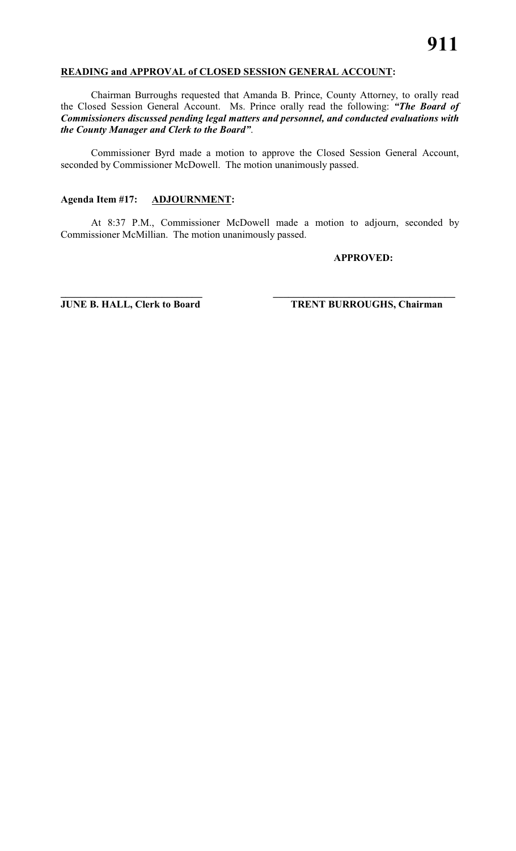#### **READING and APPROVAL of CLOSED SESSION GENERAL ACCOUNT:**

Chairman Burroughs requested that Amanda B. Prince, County Attorney, to orally read the Closed Session General Account. Ms. Prince orally read the following: *"The Board of Commissioners discussed pending legal matters and personnel, and conducted evaluations with the County Manager and Clerk to the Board"*.

Commissioner Byrd made a motion to approve the Closed Session General Account, seconded by Commissioner McDowell. The motion unanimously passed.

#### **Agenda Item #17: ADJOURNMENT:**

At 8:37 P.M., Commissioner McDowell made a motion to adjourn, seconded by Commissioner McMillian. The motion unanimously passed.

**\_\_\_\_\_\_\_\_\_\_\_\_\_\_\_\_\_\_\_\_\_\_\_\_\_\_\_\_ \_\_\_\_\_\_\_\_\_\_\_\_\_\_\_\_\_\_\_\_\_\_\_\_\_\_\_\_\_\_\_\_\_\_\_\_**

#### **APPROVED:**

**JUNE B. HALL, Clerk to Board TRENT BURROUGHS, Chairman**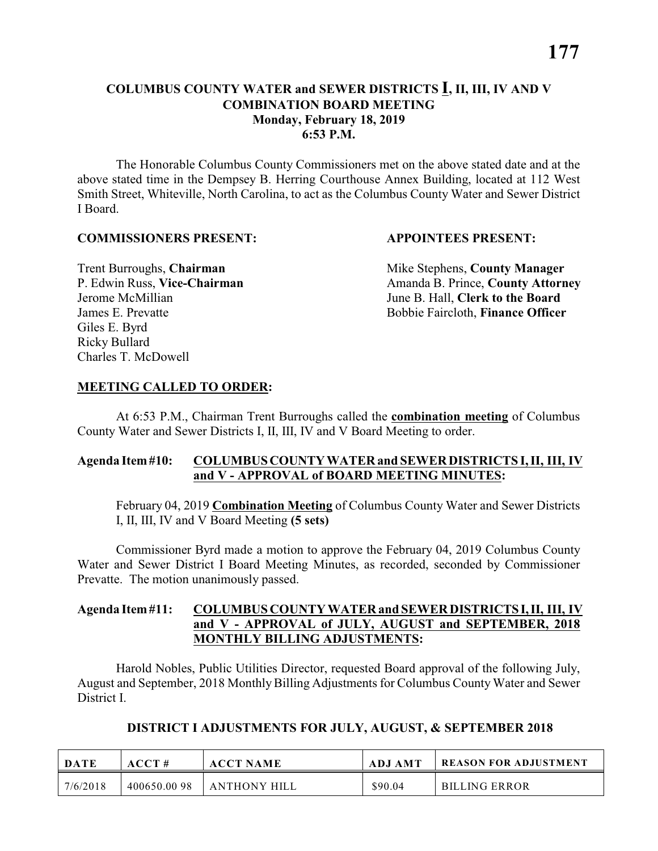#### **COLUMBUS COUNTY WATER and SEWER DISTRICTS I, II, III, IV AND V COMBINATION BOARD MEETING Monday, February 18, 2019 6:53 P.M.**

The Honorable Columbus County Commissioners met on the above stated date and at the above stated time in the Dempsey B. Herring Courthouse Annex Building, located at 112 West Smith Street, Whiteville, North Carolina, to act as the Columbus County Water and Sewer District I Board.

#### **COMMISSIONERS PRESENT: APPOINTEES PRESENT:**

Giles E. Byrd Ricky Bullard Charles T. McDowell

**Trent Burroughs, Chairman** Mike Stephens, **County Manager** P. Edwin Russ, Vice-Chairman Amanda B. Prince, County Attorney Jerome McMillian June B. Hall, **Clerk to the Board** James E. Prevatte Bobbie Faircloth, **Finance Officer**

#### **MEETING CALLED TO ORDER:**

At 6:53 P.M., Chairman Trent Burroughs called the **combination meeting** of Columbus County Water and Sewer Districts I, II, III, IV and V Board Meeting to order.

#### **Agenda Item #10: COLUMBUS COUNTY WATER and SEWER DISTRICTS I, II, III, IV and V - APPROVAL of BOARD MEETING MINUTES:**

February 04, 2019 **Combination Meeting** of Columbus County Water and Sewer Districts I, II, III, IV and V Board Meeting **(5 sets)**

Commissioner Byrd made a motion to approve the February 04, 2019 Columbus County Water and Sewer District I Board Meeting Minutes, as recorded, seconded by Commissioner Prevatte. The motion unanimously passed.

#### **Agenda Item #11: COLUMBUS COUNTY WATER and SEWER DISTRICTS I, II, III, IV and V - APPROVAL of JULY, AUGUST and SEPTEMBER, 2018 MONTHLY BILLING ADJUSTMENTS:**

Harold Nobles, Public Utilities Director, requested Board approval of the following July, August and September, 2018 Monthly Billing Adjustments for Columbus County Water and Sewer District I.

| <b>DATE</b> | ACCT#       | <b>ACCT NAME</b>    | ADJ AMT | <b>REASON FOR ADJUSTMENT</b> |
|-------------|-------------|---------------------|---------|------------------------------|
| 7/6/2018    | 400650.0098 | <b>ANTHONY HILL</b> | \$90.04 | <b>BILLING ERROR</b>         |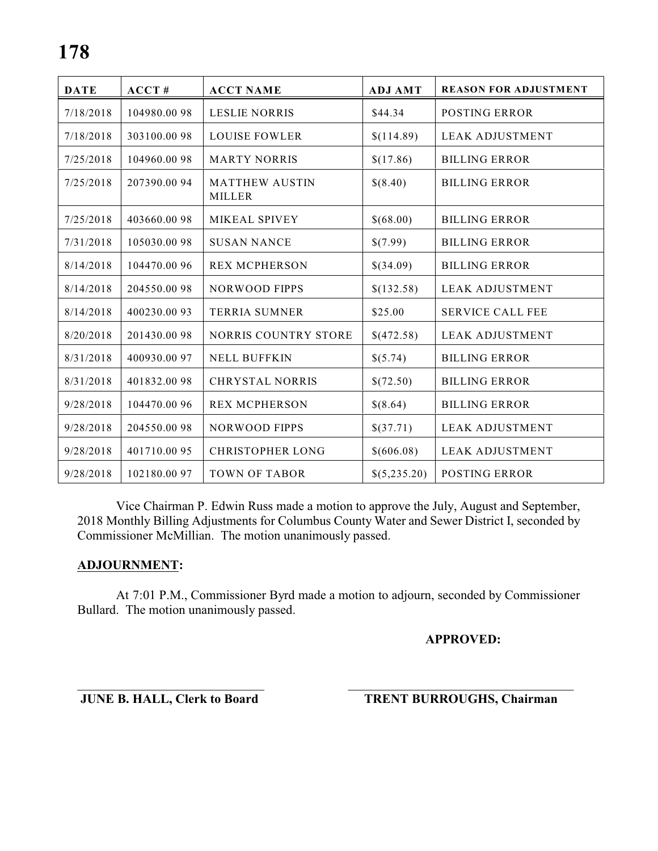| <b>DATE</b> | ACCT#        | <b>ACCT NAME</b>                       | <b>ADJ AMT</b> | <b>REASON FOR ADJUSTMENT</b> |
|-------------|--------------|----------------------------------------|----------------|------------------------------|
| 7/18/2018   | 104980.0098  | <b>LESLIE NORRIS</b>                   | \$44.34        | <b>POSTING ERROR</b>         |
| 7/18/2018   | 303100.0098  | <b>LOUISE FOWLER</b>                   | \$(114.89)     | <b>LEAK ADJUSTMENT</b>       |
| 7/25/2018   | 104960.0098  | <b>MARTY NORRIS</b>                    | \$(17.86)      | <b>BILLING ERROR</b>         |
| 7/25/2018   | 207390.0094  | <b>MATTHEW AUSTIN</b><br><b>MILLER</b> | \$(8.40)       | <b>BILLING ERROR</b>         |
| 7/25/2018   | 403660.0098  | MIKEAL SPIVEY                          | \$(68.00)      | <b>BILLING ERROR</b>         |
| 7/31/2018   | 105030.0098  | <b>SUSAN NANCE</b>                     | \$(7.99)       | <b>BILLING ERROR</b>         |
| 8/14/2018   | 104470.00 96 | <b>REX MCPHERSON</b>                   | \$(34.09)      | <b>BILLING ERROR</b>         |
| 8/14/2018   | 204550.0098  | <b>NORWOOD FIPPS</b>                   | \$(132.58)     | <b>LEAK ADJUSTMENT</b>       |
| 8/14/2018   | 400230.0093  | <b>TERRIA SUMNER</b>                   | \$25.00        | <b>SERVICE CALL FEE</b>      |
| 8/20/2018   | 201430.0098  | NORRIS COUNTRY STORE                   | \$(472.58)     | <b>LEAK ADJUSTMENT</b>       |
| 8/31/2018   | 400930.00 97 | <b>NELL BUFFKIN</b>                    | \$(5.74)       | <b>BILLING ERROR</b>         |
| 8/31/2018   | 401832.0098  | <b>CHRYSTAL NORRIS</b>                 | \$(72.50)      | <b>BILLING ERROR</b>         |
| 9/28/2018   | 104470.00 96 | <b>REX MCPHERSON</b>                   | \$(8.64)       | <b>BILLING ERROR</b>         |
| 9/28/2018   | 204550.0098  | <b>NORWOOD FIPPS</b>                   | \$(37.71)      | <b>LEAK ADJUSTMENT</b>       |
| 9/28/2018   | 401710.0095  | <b>CHRISTOPHER LONG</b>                | \$(606.08)     | <b>LEAK ADJUSTMENT</b>       |
| 9/28/2018   | 102180.0097  | <b>TOWN OF TABOR</b>                   | \$(5,235.20)   | <b>POSTING ERROR</b>         |

Vice Chairman P. Edwin Russ made a motion to approve the July, August and September, 2018 Monthly Billing Adjustments for Columbus County Water and Sewer District I, seconded by Commissioner McMillian. The motion unanimously passed.

#### **ADJOURNMENT:**

At 7:01 P.M., Commissioner Byrd made a motion to adjourn, seconded by Commissioner Bullard. The motion unanimously passed.

#### **APPROVED:**

\_\_\_\_\_\_\_\_\_\_\_\_\_\_\_\_\_\_\_\_\_\_\_\_\_\_\_\_\_ \_\_\_\_\_\_\_\_\_\_\_\_\_\_\_\_\_\_\_\_\_\_\_\_\_\_\_\_\_\_\_\_\_\_\_

**JUNE B. HALL, Clerk to Board TRENT BURROUGHS, Chairman**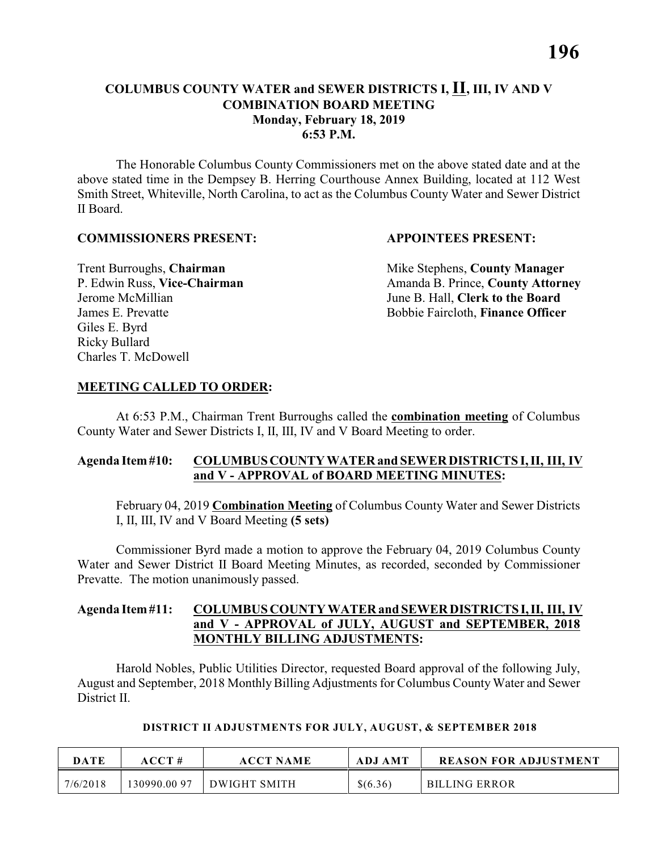#### **COLUMBUS COUNTY WATER and SEWER DISTRICTS I, II, III, IV AND V COMBINATION BOARD MEETING Monday, February 18, 2019 6:53 P.M.**

The Honorable Columbus County Commissioners met on the above stated date and at the above stated time in the Dempsey B. Herring Courthouse Annex Building, located at 112 West Smith Street, Whiteville, North Carolina, to act as the Columbus County Water and Sewer District II Board.

#### **COMMISSIONERS PRESENT: APPOINTEES PRESENT:**

Giles E. Byrd Ricky Bullard Charles T. McDowell

**Trent Burroughs, Chairman** Mike Stephens, **County Manager** P. Edwin Russ, Vice-Chairman Amanda B. Prince, County Attorney Jerome McMillian June B. Hall, **Clerk to the Board** James E. Prevatte Bobbie Faircloth, **Finance Officer**

#### **MEETING CALLED TO ORDER:**

At 6:53 P.M., Chairman Trent Burroughs called the **combination meeting** of Columbus County Water and Sewer Districts I, II, III, IV and V Board Meeting to order.

#### **Agenda Item #10: COLUMBUS COUNTY WATER and SEWER DISTRICTS I, II, III, IV and V - APPROVAL of BOARD MEETING MINUTES:**

February 04, 2019 **Combination Meeting** of Columbus County Water and Sewer Districts I, II, III, IV and V Board Meeting **(5 sets)**

Commissioner Byrd made a motion to approve the February 04, 2019 Columbus County Water and Sewer District II Board Meeting Minutes, as recorded, seconded by Commissioner Prevatte. The motion unanimously passed.

#### **Agenda Item #11: COLUMBUS COUNTY WATER and SEWER DISTRICTS I, II, III, IV and V - APPROVAL of JULY, AUGUST and SEPTEMBER, 2018 MONTHLY BILLING ADJUSTMENTS:**

Harold Nobles, Public Utilities Director, requested Board approval of the following July, August and September, 2018 Monthly Billing Adjustments for Columbus County Water and Sewer District II.

#### **DISTRICT II ADJUSTMENTS FOR JULY, AUGUST, & SEPTEMBER 2018**

| <b>DATE</b> | $\bf ACCT$ # | <b>ACCT NAME</b> | <b>ADJ AMT</b> | <b>REASON FOR ADJUSTMENT</b> |
|-------------|--------------|------------------|----------------|------------------------------|
| 7/6/2018    | 130990.00 97 | DWIGHT SMITH     | \$(6.36)       | <b>BILLING ERROR</b>         |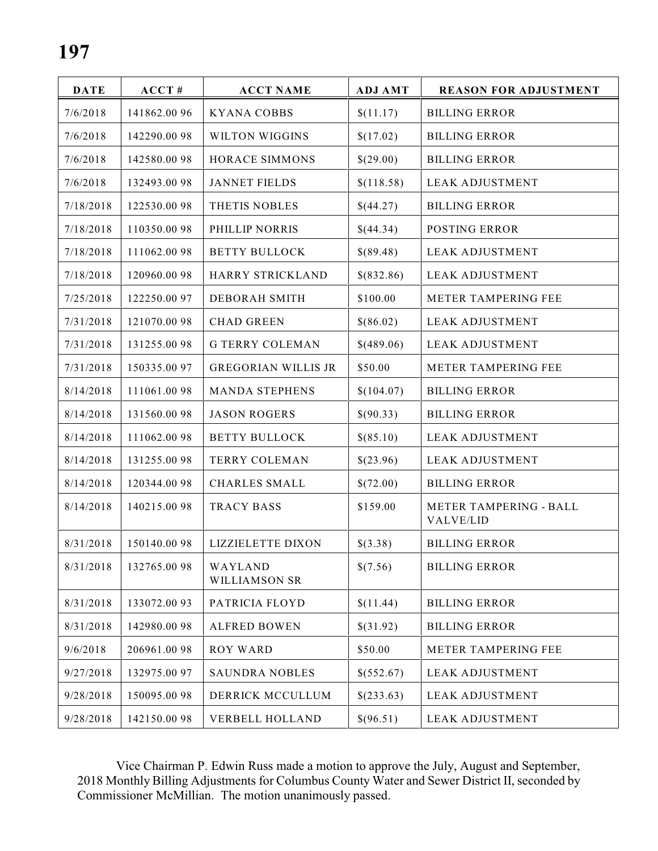| <b>DATE</b> | $ACCT$ #     | <b>ACCT NAME</b>                | <b>ADJ AMT</b> | <b>REASON FOR ADJUSTMENT</b>               |
|-------------|--------------|---------------------------------|----------------|--------------------------------------------|
| 7/6/2018    | 141862.0096  | <b>KYANA COBBS</b>              | \$(11.17)      | <b>BILLING ERROR</b>                       |
| 7/6/2018    | 142290.0098  | WILTON WIGGINS                  | \$(17.02)      | <b>BILLING ERROR</b>                       |
| 7/6/2018    | 142580.0098  | HORACE SIMMONS                  | \$(29.00)      | <b>BILLING ERROR</b>                       |
| 7/6/2018    | 132493.0098  | <b>JANNET FIELDS</b>            | \$(118.58)     | <b>LEAK ADJUSTMENT</b>                     |
| 7/18/2018   | 122530.0098  | THETIS NOBLES                   | \$(44.27)      | <b>BILLING ERROR</b>                       |
| 7/18/2018   | 110350.0098  | PHILLIP NORRIS                  | \$(44.34)      | <b>POSTING ERROR</b>                       |
| 7/18/2018   | 111062.0098  | <b>BETTY BULLOCK</b>            | \$(89.48)      | <b>LEAK ADJUSTMENT</b>                     |
| 7/18/2018   | 120960.0098  | HARRY STRICKLAND                | \$(832.86)     | <b>LEAK ADJUSTMENT</b>                     |
| 7/25/2018   | 122250.0097  | <b>DEBORAH SMITH</b>            | \$100.00       | METER TAMPERING FEE                        |
| 7/31/2018   | 121070.0098  | <b>CHAD GREEN</b>               | \$(86.02)      | <b>LEAK ADJUSTMENT</b>                     |
| 7/31/2018   | 131255.0098  | <b>G TERRY COLEMAN</b>          | \$(489.06)     | <b>LEAK ADJUSTMENT</b>                     |
| 7/31/2018   | 150335.0097  | <b>GREGORIAN WILLIS JR</b>      | \$50.00        | METER TAMPERING FEE                        |
| 8/14/2018   | 111061.0098  | <b>MANDA STEPHENS</b>           | \$(104.07)     | <b>BILLING ERROR</b>                       |
| 8/14/2018   | 131560.0098  | <b>JASON ROGERS</b>             | \$(90.33)      | <b>BILLING ERROR</b>                       |
| 8/14/2018   | 111062.0098  | <b>BETTY BULLOCK</b>            | \$(85.10)      | <b>LEAK ADJUSTMENT</b>                     |
| 8/14/2018   | 131255.0098  | <b>TERRY COLEMAN</b>            | \$(23.96)      | <b>LEAK ADJUSTMENT</b>                     |
| 8/14/2018   | 120344.0098  | <b>CHARLES SMALL</b>            | \$(72.00)      | <b>BILLING ERROR</b>                       |
| 8/14/2018   | 140215.0098  | <b>TRACY BASS</b>               | \$159.00       | <b>METER TAMPERING - BALL</b><br>VALVE/LID |
| 8/31/2018   | 150140.0098  | <b>LIZZIELETTE DIXON</b>        | \$(3.38)       | <b>BILLING ERROR</b>                       |
| 8/31/2018   | 132765.0098  | WAYLAND<br><b>WILLIAMSON SR</b> | \$(7.56)       | <b>BILLING ERROR</b>                       |
| 8/31/2018   | 133072.0093  | PATRICIA FLOYD                  | \$(11.44)      | <b>BILLING ERROR</b>                       |
| 8/31/2018   | 142980.0098  | <b>ALFRED BOWEN</b>             | \$(31.92)      | <b>BILLING ERROR</b>                       |
| 9/6/2018    | 206961.0098  | <b>ROY WARD</b>                 | \$50.00        | METER TAMPERING FEE                        |
| 9/27/2018   | 132975.00 97 | <b>SAUNDRA NOBLES</b>           | \$(552.67)     | <b>LEAK ADJUSTMENT</b>                     |
| 9/28/2018   | 150095.0098  | DERRICK MCCULLUM                | \$(233.63)     | <b>LEAK ADJUSTMENT</b>                     |
| 9/28/2018   | 142150.0098  | <b>VERBELL HOLLAND</b>          | \$(96.51)      | <b>LEAK ADJUSTMENT</b>                     |

Vice Chairman P. Edwin Russ made a motion to approve the July, August and September, 2018 Monthly Billing Adjustments for Columbus County Water and Sewer District II, seconded by Commissioner McMillian. The motion unanimously passed.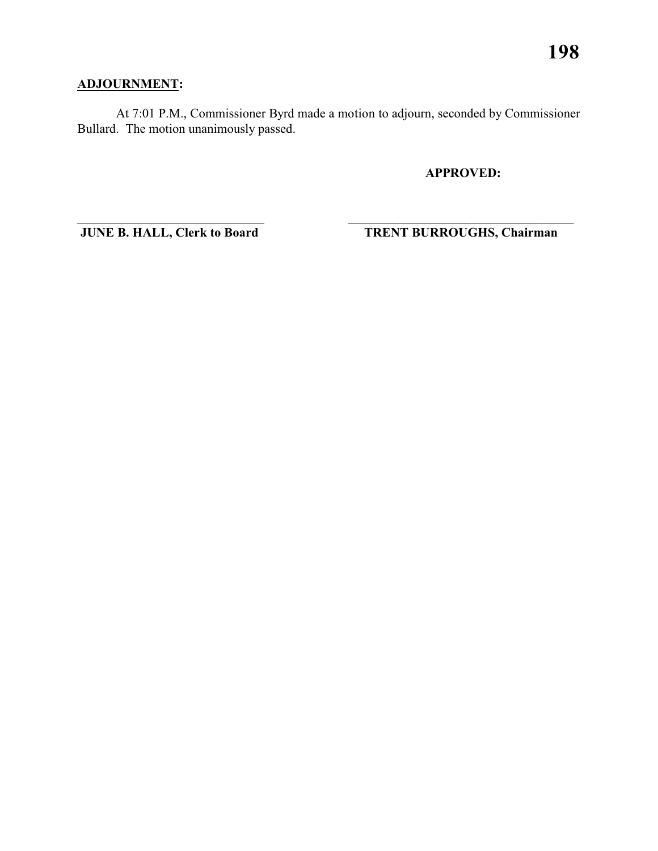## **ADJOURNMENT:**

At 7:01 P.M., Commissioner Byrd made a motion to adjourn, seconded by Commissioner Bullard. The motion unanimously passed.

 $\overline{\phantom{a}}$  , and the contribution of the contribution of the contribution of the contribution of the contribution of the contribution of the contribution of the contribution of the contribution of the contribution of the

**APPROVED:**

**JUNE B. HALL, Clerk to Board TRENT BURROUGHS, Chairman**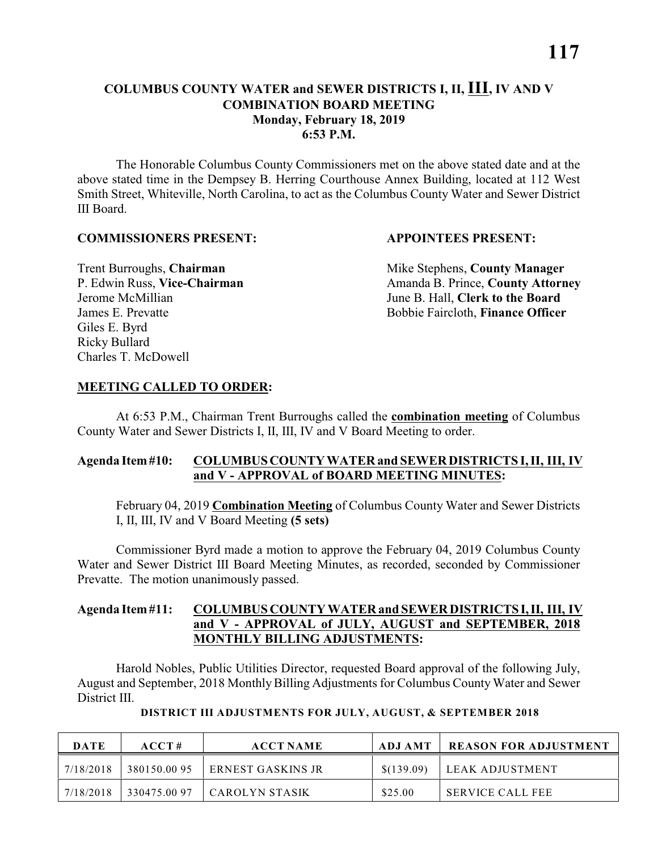The Honorable Columbus County Commissioners met on the above stated date and at the above stated time in the Dempsey B. Herring Courthouse Annex Building, located at 112 West Smith Street, Whiteville, North Carolina, to act as the Columbus County Water and Sewer District III Board.

#### **COMMISSIONERS PRESENT: APPOINTEES PRESENT:**

Giles E. Byrd Ricky Bullard Charles T. McDowell

**Trent Burroughs, Chairman** Mike Stephens, **County Manager** P. Edwin Russ, Vice-Chairman Amanda B. Prince, County Attorney Jerome McMillian June B. Hall, **Clerk to the Board** James E. Prevatte Bobbie Faircloth, **Finance Officer**

#### **MEETING CALLED TO ORDER:**

At 6:53 P.M., Chairman Trent Burroughs called the **combination meeting** of Columbus County Water and Sewer Districts I, II, III, IV and V Board Meeting to order.

#### **Agenda Item #10: COLUMBUS COUNTY WATER and SEWER DISTRICTS I, II, III, IV and V - APPROVAL of BOARD MEETING MINUTES:**

February 04, 2019 **Combination Meeting** of Columbus County Water and Sewer Districts I, II, III, IV and V Board Meeting **(5 sets)**

Commissioner Byrd made a motion to approve the February 04, 2019 Columbus County Water and Sewer District III Board Meeting Minutes, as recorded, seconded by Commissioner Prevatte. The motion unanimously passed.

#### **Agenda Item #11: COLUMBUS COUNTY WATER and SEWER DISTRICTS I, II, III, IV and V - APPROVAL of JULY, AUGUST and SEPTEMBER, 2018 MONTHLY BILLING ADJUSTMENTS:**

Harold Nobles, Public Utilities Director, requested Board approval of the following July, August and September, 2018 Monthly Billing Adjustments for Columbus County Water and Sewer District III.

| DATE      | ACCT#       | <b>ACCT NAME</b>         | ADJ AMT    | <b>REASON FOR ADJUSTMENT</b> |
|-----------|-------------|--------------------------|------------|------------------------------|
| 7/18/2018 | 380150.0095 | <b>ERNEST GASKINS JR</b> | \$(139.09) | LEAK ADJUSTMENT              |
| 7/18/2018 | 330475.0097 | CAROLYN STASIK           | \$25.00    | <b>SERVICE CALL FEE</b>      |

#### **DISTRICT III ADJUSTMENTS FOR JULY, AUGUST, & SEPTEMBER 2018**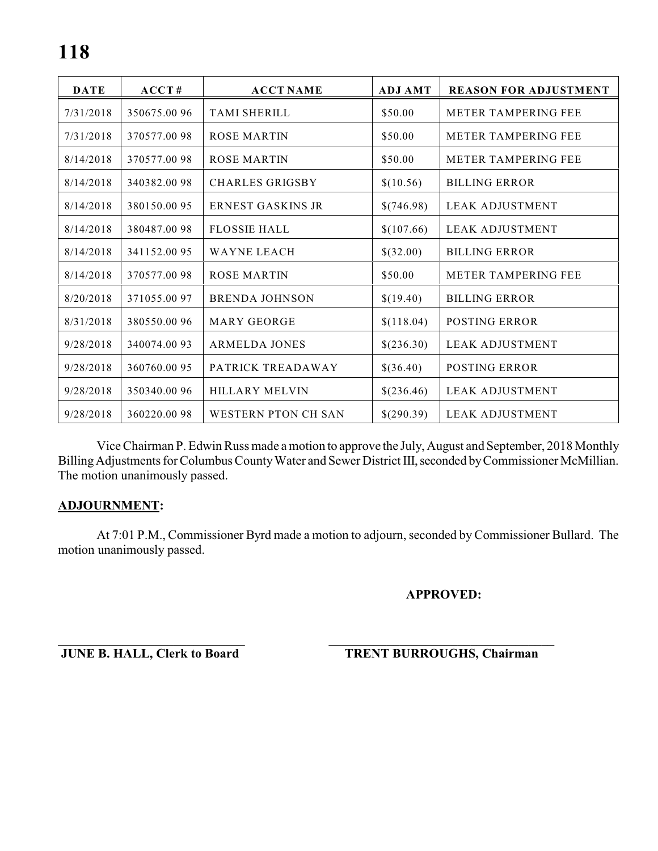| <b>DATE</b> | ACCT#        | <b>ACCT NAME</b>           | <b>ADJ AMT</b> | <b>REASON FOR ADJUSTMENT</b> |
|-------------|--------------|----------------------------|----------------|------------------------------|
| 7/31/2018   | 350675.0096  | <b>TAMI SHERILL</b>        | \$50.00        | <b>METER TAMPERING FEE</b>   |
| 7/31/2018   | 370577.0098  | <b>ROSE MARTIN</b>         | \$50.00        | <b>METER TAMPERING FEE</b>   |
| 8/14/2018   | 370577.0098  | ROSE MARTIN                | \$50.00        | <b>METER TAMPERING FEE</b>   |
| 8/14/2018   | 340382.0098  | <b>CHARLES GRIGSBY</b>     | \$(10.56)      | <b>BILLING ERROR</b>         |
| 8/14/2018   | 380150.0095  | ERNEST GASKINS JR          | \$(746.98)     | LEAK ADJUSTMENT              |
| 8/14/2018   | 380487.0098  | <b>FLOSSIE HALL</b>        | \$(107.66)     | <b>LEAK ADJUSTMENT</b>       |
| 8/14/2018   | 341152.0095  | <b>WAYNE LEACH</b>         | \$(32.00)      | <b>BILLING ERROR</b>         |
| 8/14/2018   | 370577.0098  | <b>ROSE MARTIN</b>         | \$50.00        | METER TAMPERING FEE          |
| 8/20/2018   | 371055.0097  | <b>BRENDA JOHNSON</b>      | \$(19.40)      | <b>BILLING ERROR</b>         |
| 8/31/2018   | 380550.0096  | <b>MARY GEORGE</b>         | \$(118.04)     | <b>POSTING ERROR</b>         |
| 9/28/2018   | 340074.0093  | <b>ARMELDA JONES</b>       | \$(236.30)     | <b>LEAK ADJUSTMENT</b>       |
| 9/28/2018   | 360760.0095  | PATRICK TREADAWAY          | \$(36.40)      | <b>POSTING ERROR</b>         |
| 9/28/2018   | 350340.00 96 | <b>HILLARY MELVIN</b>      | \$(236.46)     | LEAK ADJUSTMENT              |
| 9/28/2018   | 360220.0098  | <b>WESTERN PTON CH SAN</b> | \$(290.39)     | <b>LEAK ADJUSTMENT</b>       |

Vice Chairman P. Edwin Russ made amotion to approve the July, August and September, 2018 Monthly Billing Adjustments for Columbus County Water and Sewer District III, seconded by Commissioner McMillian. The motion unanimously passed.

#### **ADJOURNMENT:**

At 7:01 P.M., Commissioner Byrd made a motion to adjourn, seconded by Commissioner Bullard. The motion unanimously passed.

**APPROVED:**

**JUNE B. HALL, Clerk to Board TRENT BURROUGHS, Chairman**

\_\_\_\_\_\_\_\_\_\_\_\_\_\_\_\_\_\_\_\_\_\_\_\_\_\_\_\_\_ \_\_\_\_\_\_\_\_\_\_\_\_\_\_\_\_\_\_\_\_\_\_\_\_\_\_\_\_\_\_\_\_\_\_\_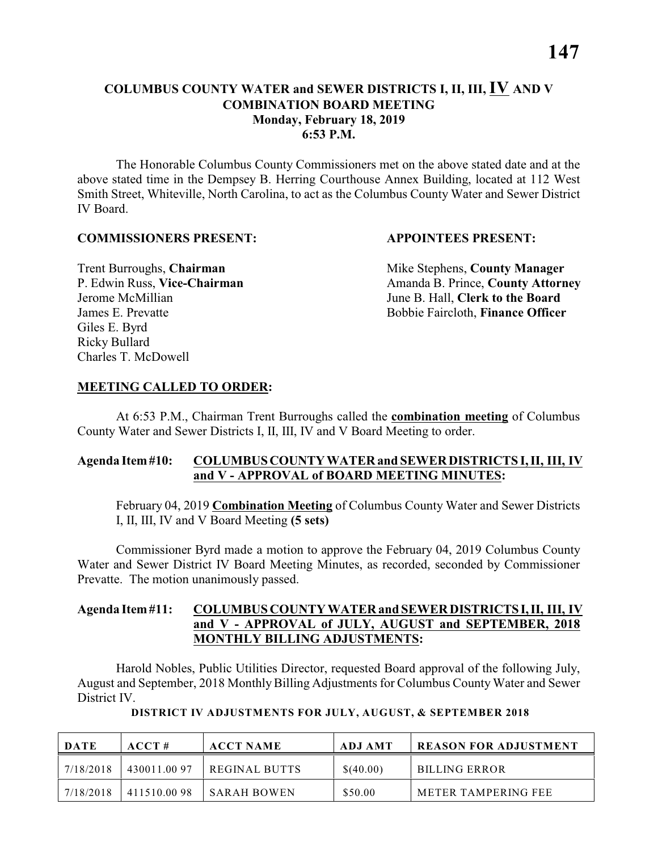#### **COLUMBUS COUNTY WATER and SEWER DISTRICTS I, II, III, IV AND V COMBINATION BOARD MEETING Monday, February 18, 2019 6:53 P.M.**

The Honorable Columbus County Commissioners met on the above stated date and at the above stated time in the Dempsey B. Herring Courthouse Annex Building, located at 112 West Smith Street, Whiteville, North Carolina, to act as the Columbus County Water and Sewer District IV Board.

#### **COMMISSIONERS PRESENT: APPOINTEES PRESENT:**

Giles E. Byrd Ricky Bullard Charles T. McDowell

**Trent Burroughs, Chairman** Mike Stephens, **County Manager** P. Edwin Russ, **Vice-Chairman** Amanda B. Prince, **County Attorney** Jerome McMillian June B. Hall, **Clerk to the Board** James E. Prevatte Bobbie Faircloth, **Finance Officer**

#### **MEETING CALLED TO ORDER:**

At 6:53 P.M., Chairman Trent Burroughs called the **combination meeting** of Columbus County Water and Sewer Districts I, II, III, IV and V Board Meeting to order.

#### **Agenda Item #10: COLUMBUS COUNTY WATER and SEWER DISTRICTS I, II, III, IV and V - APPROVAL of BOARD MEETING MINUTES:**

February 04, 2019 **Combination Meeting** of Columbus County Water and Sewer Districts I, II, III, IV and V Board Meeting **(5 sets)**

Commissioner Byrd made a motion to approve the February 04, 2019 Columbus County Water and Sewer District IV Board Meeting Minutes, as recorded, seconded by Commissioner Prevatte. The motion unanimously passed.

#### **Agenda Item #11: COLUMBUS COUNTY WATER and SEWER DISTRICTS I, II, III, IV and V - APPROVAL of JULY, AUGUST and SEPTEMBER, 2018 MONTHLY BILLING ADJUSTMENTS:**

Harold Nobles, Public Utilities Director, requested Board approval of the following July, August and September, 2018 Monthly Billing Adjustments for Columbus County Water and Sewer District IV.

| <b>DATE</b> | ACCT#       | <b>ACCT NAME</b> | ADJ AMT   | <b>REASON FOR ADJUSTMENT</b> |
|-------------|-------------|------------------|-----------|------------------------------|
| 7/18/2018   | 430011.0097 | REGINAL BUTTS    | \$(40.00) | <b>BILLING ERROR</b>         |
| 7/18/2018   | 411510.0098 | SARAH BOWEN      | \$50.00   | METER TAMPERING FEE          |

 **DISTRICT IV ADJUSTMENTS FOR JULY, AUGUST, & SEPTEMBER 2018**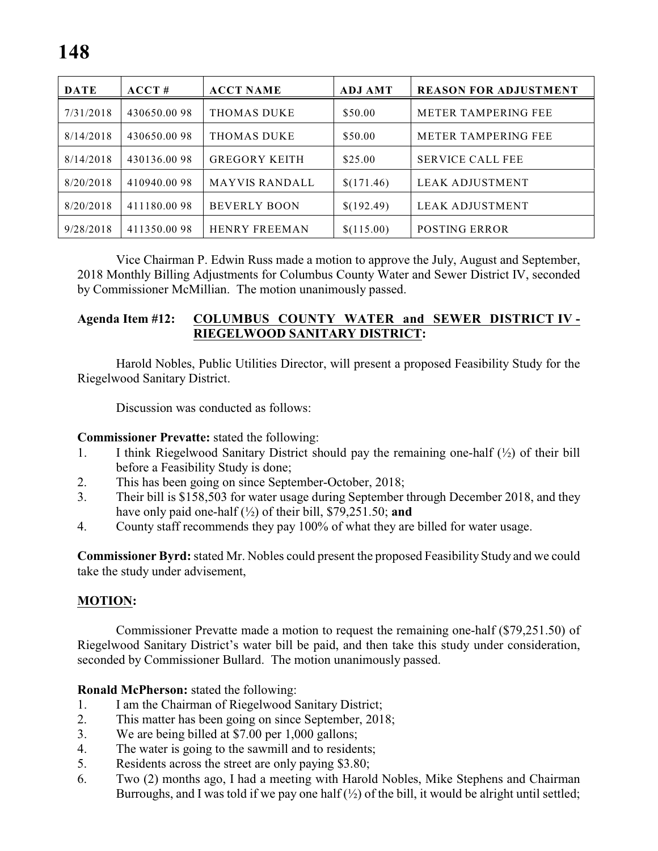| <b>DATE</b> | ACCT#       | <b>ACCT NAME</b>      | <b>ADJ AMT</b> | <b>REASON FOR ADJUSTMENT</b> |
|-------------|-------------|-----------------------|----------------|------------------------------|
| 7/31/2018   | 430650.0098 | <b>THOMAS DUKE</b>    | \$50.00        | <b>METER TAMPERING FEE</b>   |
| 8/14/2018   | 430650.0098 | THOMAS DUKE           | \$50.00        | <b>METER TAMPERING FEE</b>   |
| 8/14/2018   | 430136.0098 | <b>GREGORY KEITH</b>  | \$25.00        | <b>SERVICE CALL FEE</b>      |
| 8/20/2018   | 410940.0098 | <b>MAYVIS RANDALL</b> | \$(171.46)     | LEAK ADJUSTMENT              |
| 8/20/2018   | 411180.0098 | <b>BEVERLY BOON</b>   | \$(192.49)     | LEAK ADJUSTMENT              |
| 9/28/2018   | 411350.0098 | <b>HENRY FREEMAN</b>  | \$(115.00)     | <b>POSTING ERROR</b>         |

Vice Chairman P. Edwin Russ made a motion to approve the July, August and September, 2018 Monthly Billing Adjustments for Columbus County Water and Sewer District IV, seconded by Commissioner McMillian. The motion unanimously passed.

#### **Agenda Item #12: COLUMBUS COUNTY WATER and SEWER DISTRICT IV - RIEGELWOOD SANITARY DISTRICT:**

Harold Nobles, Public Utilities Director, will present a proposed Feasibility Study for the Riegelwood Sanitary District.

Discussion was conducted as follows:

#### **Commissioner Prevatte:** stated the following:

- 1. I think Riegelwood Sanitary District should pay the remaining one-half  $(\frac{1}{2})$  of their bill before a Feasibility Study is done;
- 2. This has been going on since September-October, 2018;
- 3. Their bill is \$158,503 for water usage during September through December 2018, and they have only paid one-half (½) of their bill, \$79,251.50; **and**
- 4. County staff recommends they pay 100% of what they are billed for water usage.

**Commissioner Byrd:** stated Mr. Nobles could present the proposed Feasibility Study and we could take the study under advisement,

#### **MOTION:**

Commissioner Prevatte made a motion to request the remaining one-half (\$79,251.50) of Riegelwood Sanitary District's water bill be paid, and then take this study under consideration, seconded by Commissioner Bullard. The motion unanimously passed.

#### **Ronald McPherson:** stated the following:

- 1. I am the Chairman of Riegelwood Sanitary District;
- 2. This matter has been going on since September, 2018;
- 3. We are being billed at \$7.00 per 1,000 gallons;
- 4. The water is going to the sawmill and to residents;
- 5. Residents across the street are only paying \$3.80;
- 6. Two (2) months ago, I had a meeting with Harold Nobles, Mike Stephens and Chairman Burroughs, and I was told if we pay one half  $(\frac{1}{2})$  of the bill, it would be alright until settled;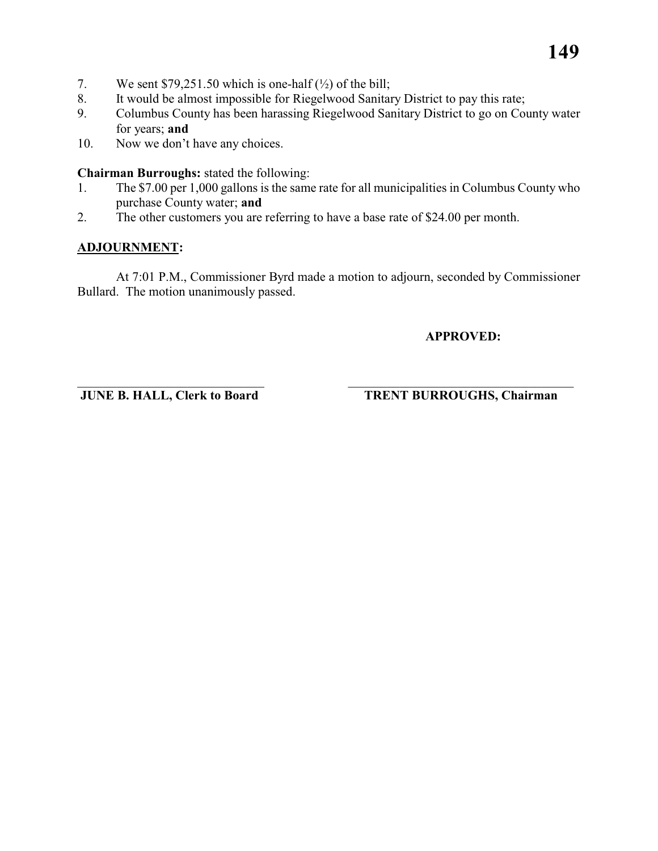- 7. We sent  $$79,251.50$  which is one-half ( $\frac{1}{2}$ ) of the bill;
- 8. It would be almost impossible for Riegelwood Sanitary District to pay this rate;
- 9. Columbus County has been harassing Riegelwood Sanitary District to go on County water for years; **and**
- 10. Now we don't have any choices.

**Chairman Burroughs:** stated the following:

- 1. The \$7.00 per 1,000 gallons is the same rate for all municipalities in Columbus County who purchase County water; **and**
- 2. The other customers you are referring to have a base rate of \$24.00 per month.

#### **ADJOURNMENT:**

At 7:01 P.M., Commissioner Byrd made a motion to adjourn, seconded by Commissioner Bullard. The motion unanimously passed.

**APPROVED:**

\_\_\_\_\_\_\_\_\_\_\_\_\_\_\_\_\_\_\_\_\_\_\_\_\_\_\_\_\_ \_\_\_\_\_\_\_\_\_\_\_\_\_\_\_\_\_\_\_\_\_\_\_\_\_\_\_\_\_\_\_\_\_\_\_

**JUNE B. HALL, Clerk to Board TRENT BURROUGHS, Chairman**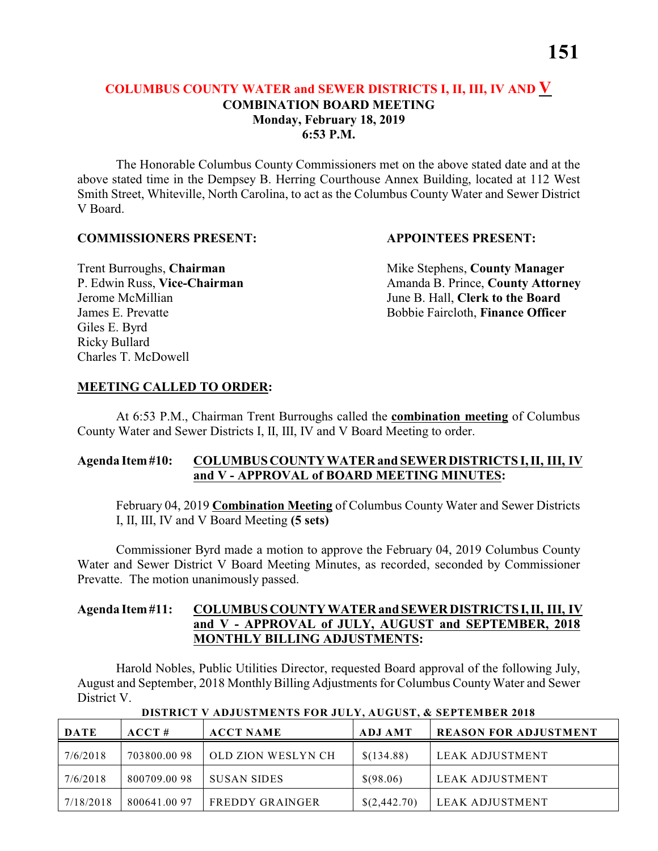#### **COLUMBUS COUNTY WATER and SEWER DISTRICTS I, II, III, IV AND V COMBINATION BOARD MEETING Monday, February 18, 2019 6:53 P.M.**

The Honorable Columbus County Commissioners met on the above stated date and at the above stated time in the Dempsey B. Herring Courthouse Annex Building, located at 112 West Smith Street, Whiteville, North Carolina, to act as the Columbus County Water and Sewer District V Board.

#### **COMMISSIONERS PRESENT: APPOINTEES PRESENT:**

Giles E. Byrd Ricky Bullard Charles T. McDowell

**Trent Burroughs, Chairman** Mike Stephens, **County Manager** P. Edwin Russ, Vice-Chairman Amanda B. Prince, County Attorney Jerome McMillian June B. Hall, **Clerk to the Board** James E. Prevatte Bobbie Faircloth, **Finance Officer**

#### **MEETING CALLED TO ORDER:**

At 6:53 P.M., Chairman Trent Burroughs called the **combination meeting** of Columbus County Water and Sewer Districts I, II, III, IV and V Board Meeting to order.

#### **Agenda Item #10: COLUMBUS COUNTY WATER and SEWER DISTRICTS I, II, III, IV and V - APPROVAL of BOARD MEETING MINUTES:**

February 04, 2019 **Combination Meeting** of Columbus County Water and Sewer Districts I, II, III, IV and V Board Meeting **(5 sets)**

Commissioner Byrd made a motion to approve the February 04, 2019 Columbus County Water and Sewer District V Board Meeting Minutes, as recorded, seconded by Commissioner Prevatte. The motion unanimously passed.

#### **Agenda Item #11: COLUMBUS COUNTY WATER and SEWER DISTRICTS I, II, III, IV and V - APPROVAL of JULY, AUGUST and SEPTEMBER, 2018 MONTHLY BILLING ADJUSTMENTS:**

Harold Nobles, Public Utilities Director, requested Board approval of the following July, August and September, 2018 Monthly Billing Adjustments for Columbus County Water and Sewer District V.

| <b>DATE</b> | ACCT#       | <b>ACCT NAME</b>   | <b>ADJ AMT</b> | <b>REASON FOR ADJUSTMENT</b> |
|-------------|-------------|--------------------|----------------|------------------------------|
| 7/6/2018    | 703800.0098 | OLD ZION WESLYN CH | \$(134.88)     | LEAK ADJUSTMENT              |
| 7/6/2018    | 800709.0098 | <b>SUSAN SIDES</b> | \$(98.06)      | LEAK ADJUSTMENT              |
| 7/18/2018   | 800641.0097 | FREDDY GRAINGER    | \$(2,442.70)   | LEAK ADJUSTMENT              |

 **DISTRICT V ADJUSTMENTS FOR JULY, AUGUST, & SEPTEMBER 2018**